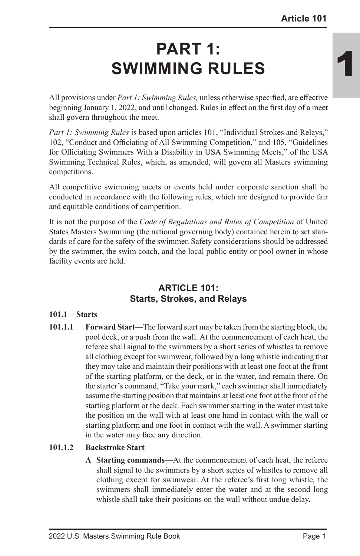# **PART 1: SWIMMING RULES**

All provisions under *Part 1: Swimming Rules,* unless otherwise specified, are effective beginning January 1, 2022, and until changed. Rules in effect on the first day of a meet shall govern throughout the meet.

*Part 1: Swimming Rules* is based upon articles 101, "Individual Strokes and Relays," 102, "Conduct and Officiating of All Swimming Competition," and 105, "Guidelines for Officiating Swimmers With a Disability in USA Swimming Meets," of the USA Swimming Technical Rules, which, as amended, will govern all Masters swimming competitions.

All competitive swimming meets or events held under corporate sanction shall be conducted in accordance with the following rules, which are designed to provide fair and equitable conditions of competition.

It is not the purpose of the *Code of Regulations and Rules of Competition* of United States Masters Swimming (the national governing body) contained herein to set standards of care for the safety of the swimmer. Safety considerations should be addressed by the swimmer, the swim coach, and the local public entity or pool owner in whose facility events are held.

# **ARTICLE 101: Starts, Strokes, and Relays**

### **101.1 Starts**

**101.1.1 Forward Start—**The forward start may be taken from the starting block, the pool deck, or a push from the wall. At the commencement of each heat, the referee shall signal to the swimmers by a short series of whistles to remove all clothing except for swimwear, followed by a long whistle indicating that they may take and maintain their positions with at least one foot at the front of the starting platform, or the deck, or in the water, and remain there. On the starter's command, "Take your mark," each swimmer shall immediately assume the starting position that maintains at least one foot at the front of the starting platform or the deck. Each swimmer starting in the water must take the position on the wall with at least one hand in contact with the wall or starting platform and one foot in contact with the wall. A swimmer starting in the water may face any direction.

# **101.1.2 Backstroke Start**

**A Starting commands—**At the commencement of each heat, the referee shall signal to the swimmers by a short series of whistles to remove all clothing except for swimwear. At the referee's first long whistle, the swimmers shall immediately enter the water and at the second long whistle shall take their positions on the wall without undue delay.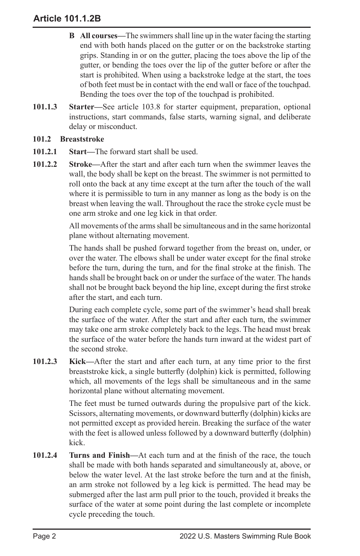- **B All courses—**The swimmers shall line up in the water facing the starting end with both hands placed on the gutter or on the backstroke starting grips. Standing in or on the gutter, placing the toes above the lip of the gutter, or bending the toes over the lip of the gutter before or after the start is prohibited. When using a backstroke ledge at the start, the toes of both feet must be in contact with the end wall or face of the touchpad. Bending the toes over the top of the touchpad is prohibited.
- **101.1.3 Starter—**See article 103.8 for starter equipment, preparation, optional instructions, start commands, false starts, warning signal, and deliberate delay or misconduct.

### **101.2 Breaststroke**

- **101.2.1 Start—**The forward start shall be used.
- **101.2.2 Stroke—**After the start and after each turn when the swimmer leaves the wall, the body shall be kept on the breast. The swimmer is not permitted to roll onto the back at any time except at the turn after the touch of the wall where it is permissible to turn in any manner as long as the body is on the breast when leaving the wall. Throughout the race the stroke cycle must be one arm stroke and one leg kick in that order.

All movements of the arms shall be simultaneous and in the same horizontal plane without alternating movement.

The hands shall be pushed forward together from the breast on, under, or over the water. The elbows shall be under water except for the final stroke before the turn, during the turn, and for the final stroke at the finish. The hands shall be brought back on or under the surface of the water. The hands shall not be brought back beyond the hip line, except during the first stroke after the start, and each turn.

During each complete cycle, some part of the swimmer's head shall break the surface of the water. After the start and after each turn, the swimmer may take one arm stroke completely back to the legs. The head must break the surface of the water before the hands turn inward at the widest part of the second stroke.

**101.2.3 Kick—**After the start and after each turn, at any time prior to the first breaststroke kick, a single butterfly (dolphin) kick is permitted, following which, all movements of the legs shall be simultaneous and in the same horizontal plane without alternating movement.

> The feet must be turned outwards during the propulsive part of the kick. Scissors, alternating movements, or downward butterfly (dolphin) kicks are not permitted except as provided herein. Breaking the surface of the water with the feet is allowed unless followed by a downward butterfly (dolphin) kick.

**101.2.4 Turns and Finish—**At each turn and at the finish of the race, the touch shall be made with both hands separated and simultaneously at, above, or below the water level. At the last stroke before the turn and at the finish, an arm stroke not followed by a leg kick is permitted. The head may be submerged after the last arm pull prior to the touch, provided it breaks the surface of the water at some point during the last complete or incomplete cycle preceding the touch.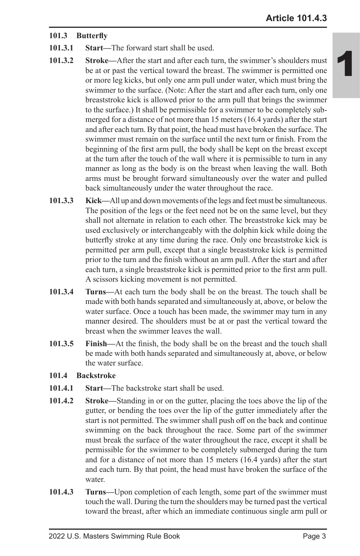### **101.3 Butterfly**

- **101.3.1 Start—**The forward start shall be used.
- **101.3.2 Stroke—**After the start and after each turn, the swimmer's shoulders must be at or past the vertical toward the breast. The swimmer is permitted one or more leg kicks, but only one arm pull under water, which must bring the swimmer to the surface. (Note: After the start and after each turn, only one breaststroke kick is allowed prior to the arm pull that brings the swimmer to the surface.) It shall be permissible for a swimmer to be completely submerged for a distance of not more than 15 meters (16.4 yards) after the start and after each turn. By that point, the head must have broken the surface. The swimmer must remain on the surface until the next turn or finish. From the beginning of the first arm pull, the body shall be kept on the breast except at the turn after the touch of the wall where it is permissible to turn in any manner as long as the body is on the breast when leaving the wall. Both arms must be brought forward simultaneously over the water and pulled back simultaneously under the water throughout the race.
- **101.3.3 Kick—**All up and down movements of the legs and feet must be simultaneous. The position of the legs or the feet need not be on the same level, but they shall not alternate in relation to each other. The breaststroke kick may be used exclusively or interchangeably with the dolphin kick while doing the butterfly stroke at any time during the race. Only one breaststroke kick is permitted per arm pull, except that a single breaststroke kick is permitted prior to the turn and the finish without an arm pull. After the start and after each turn, a single breaststroke kick is permitted prior to the first arm pull. A scissors kicking movement is not permitted.
- **101.3.4 Turns—**At each turn the body shall be on the breast. The touch shall be made with both hands separated and simultaneously at, above, or below the water surface. Once a touch has been made, the swimmer may turn in any manner desired. The shoulders must be at or past the vertical toward the breast when the swimmer leaves the wall.
- **101.3.5 Finish—**At the finish, the body shall be on the breast and the touch shall be made with both hands separated and simultaneously at, above, or below the water surface.
- **101.4 Backstroke**
- **101.4.1 Start—**The backstroke start shall be used.
- **101.4.2 Stroke—**Standing in or on the gutter, placing the toes above the lip of the gutter, or bending the toes over the lip of the gutter immediately after the start is not permitted. The swimmer shall push off on the back and continue swimming on the back throughout the race. Some part of the swimmer must break the surface of the water throughout the race, except it shall be permissible for the swimmer to be completely submerged during the turn and for a distance of not more than 15 meters (16.4 yards) after the start and each turn. By that point, the head must have broken the surface of the water.
- **101.4.3 Turns—**Upon completion of each length, some part of the swimmer must touch the wall. During the turn the shoulders may be turned past the vertical toward the breast, after which an immediate continuous single arm pull or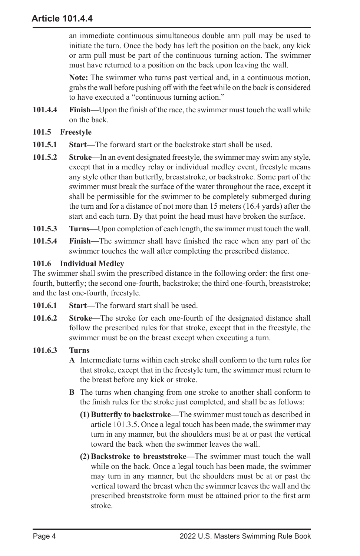an immediate continuous simultaneous double arm pull may be used to initiate the turn. Once the body has left the position on the back, any kick or arm pull must be part of the continuous turning action. The swimmer must have returned to a position on the back upon leaving the wall.

**Note:** The swimmer who turns past vertical and, in a continuous motion, grabs the wall before pushing off with the feet while on the back is considered to have executed a "continuous turning action."

- **101.4.4 Finish—**Upon the finish of the race, the swimmer must touch the wall while on the back.
- **101.5 Freestyle**
- **101.5.1 Start—**The forward start or the backstroke start shall be used.
- **101.5.2 Stroke—**In an event designated freestyle, the swimmer may swim any style, except that in a medley relay or individual medley event, freestyle means any style other than butterfly, breaststroke, or backstroke. Some part of the swimmer must break the surface of the water throughout the race, except it shall be permissible for the swimmer to be completely submerged during the turn and for a distance of not more than 15 meters (16.4 yards) after the start and each turn. By that point the head must have broken the surface.
- **101.5.3 Turns—**Upon completion of each length, the swimmer must touch the wall.
- **101.5.4 Finish—**The swimmer shall have finished the race when any part of the swimmer touches the wall after completing the prescribed distance.

### **101.6 Individual Medley**

The swimmer shall swim the prescribed distance in the following order: the first onefourth, butterfly; the second one-fourth, backstroke; the third one-fourth, breaststroke; and the last one-fourth, freestyle.

- **101.6.1 Start—**The forward start shall be used.
- **101.6.2 Stroke—**The stroke for each one-fourth of the designated distance shall follow the prescribed rules for that stroke, except that in the freestyle, the swimmer must be on the breast except when executing a turn.
- **101.6.3 Turns**
	- **A** Intermediate turns within each stroke shall conform to the turn rules for that stroke, except that in the freestyle turn, the swimmer must return to the breast before any kick or stroke.
	- **B** The turns when changing from one stroke to another shall conform to the finish rules for the stroke just completed, and shall be as follows:
		- **(1) Butterfly to backstroke—**The swimmer must touch as described in article 101.3.5. Once a legal touch has been made, the swimmer may turn in any manner, but the shoulders must be at or past the vertical toward the back when the swimmer leaves the wall.
		- **(2) Backstroke to breaststroke—**The swimmer must touch the wall while on the back. Once a legal touch has been made, the swimmer may turn in any manner, but the shoulders must be at or past the vertical toward the breast when the swimmer leaves the wall and the prescribed breaststroke form must be attained prior to the first arm stroke.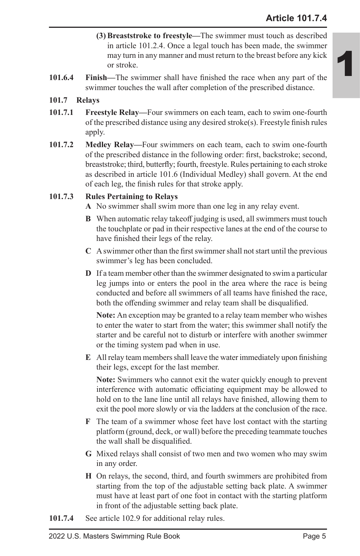- **(3) Breaststroke to freestyle—**The swimmer must touch as described in article 101.2.4. Once a legal touch has been made, the swimmer may turn in any manner and must return to the breast before any kick or stroke.
- **101.6.4 Finish—**The swimmer shall have finished the race when any part of the swimmer touches the wall after completion of the prescribed distance.

### **101.7 Relays**

- **101.7.1 Freestyle Relay—**Four swimmers on each team, each to swim one-fourth of the prescribed distance using any desired stroke(s). Freestyle finish rules apply.
- **101.7.2 Medley Relay—**Four swimmers on each team, each to swim one-fourth of the prescribed distance in the following order: first, backstroke; second, breaststroke; third, butterfly; fourth, freestyle. Rules pertaining to each stroke as described in article 101.6 (Individual Medley) shall govern. At the end of each leg, the finish rules for that stroke apply.

### **101.7.3 Rules Pertaining to Relays**

- **A** No swimmer shall swim more than one leg in any relay event.
- **B** When automatic relay takeoff judging is used, all swimmers must touch the touchplate or pad in their respective lanes at the end of the course to have finished their legs of the relay.
- **C** A swimmer other than the first swimmer shall not start until the previous swimmer's leg has been concluded.
- **D** If a team member other than the swimmer designated to swim a particular leg jumps into or enters the pool in the area where the race is being conducted and before all swimmers of all teams have finished the race, both the offending swimmer and relay team shall be disqualified.

**Note:** An exception may be granted to a relay team member who wishes to enter the water to start from the water; this swimmer shall notify the starter and be careful not to disturb or interfere with another swimmer or the timing system pad when in use.

**E** All relay team members shall leave the water immediately upon finishing their legs, except for the last member.

**Note:** Swimmers who cannot exit the water quickly enough to prevent interference with automatic officiating equipment may be allowed to hold on to the lane line until all relays have finished, allowing them to exit the pool more slowly or via the ladders at the conclusion of the race.

- **F** The team of a swimmer whose feet have lost contact with the starting platform (ground, deck, or wall) before the preceding teammate touches the wall shall be disqualified.
- **G** Mixed relays shall consist of two men and two women who may swim in any order.
- **H** On relays, the second, third, and fourth swimmers are prohibited from starting from the top of the adjustable setting back plate. A swimmer must have at least part of one foot in contact with the starting platform in front of the adjustable setting back plate.
- **101.7.4** See article 102.9 for additional relay rules.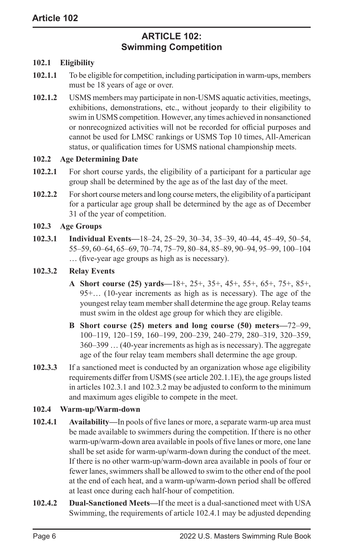# **ARTICLE 102: Swimming Competition**

### **102.1 Eligibility**

- **102.1.1** To be eligible for competition, including participation in warm-ups, members must be 18 years of age or over.
- **102.1.2** USMS members may participate in non-USMS aquatic activities, meetings, exhibitions, demonstrations, etc., without jeopardy to their eligibility to swim in USMS competition. However, any times achieved in nonsanctioned or nonrecognized activities will not be recorded for official purposes and cannot be used for LMSC rankings or USMS Top 10 times, All-American status, or qualification times for USMS national championship meets.

### **102.2 Age Determining Date**

- **102.2.1** For short course yards, the eligibility of a participant for a particular age group shall be determined by the age as of the last day of the meet.
- **102.2.2** For short course meters and long course meters, the eligibility of a participant for a particular age group shall be determined by the age as of December 31 of the year of competition.

### **102.3 Age Groups**

**102.3.1 Individual Events—**18–24, 25–29, 30–34, 35–39, 40–44, 45–49, 50–54, 55–59, 60–64, 65–69, 70–74, 75–79, 80–84, 85–89, 90–94, 95–99, 100–104 … (five-year age groups as high as is necessary).

### **102.3.2 Relay Events**

- **A Short course (25) yards—**18+, 25+, 35+, 45+, 55+, 65+, 75+, 85+, 95+… (10-year increments as high as is necessary). The age of the youngest relay team member shall determine the age group. Relay teams must swim in the oldest age group for which they are eligible.
- **B Short course (25) meters and long course (50) meters—**72–99, 100–119, 120–159, 160–199, 200–239, 240–279, 280–319, 320–359, 360–399 … (40-year increments as high as is necessary). The aggregate age of the four relay team members shall determine the age group.
- **102.3.3** If a sanctioned meet is conducted by an organization whose age eligibility requirements differ from USMS (see article 202.1.1E), the age groups listed in articles 102.3.1 and 102.3.2 may be adjusted to conform to the minimum and maximum ages eligible to compete in the meet.

#### **102.4 Warm-up/Warm-down**

- **102.4.1 Availability—**In pools of five lanes or more, a separate warm-up area must be made available to swimmers during the competition. If there is no other warm-up/warm-down area available in pools of five lanes or more, one lane shall be set aside for warm-up/warm-down during the conduct of the meet. If there is no other warm-up/warm-down area available in pools of four or fewer lanes, swimmers shall be allowed to swim to the other end of the pool at the end of each heat, and a warm-up/warm-down period shall be offered at least once during each half-hour of competition.
- **102.4.2 Dual-Sanctioned Meets—**If the meet is a dual-sanctioned meet with USA Swimming, the requirements of article 102.4.1 may be adjusted depending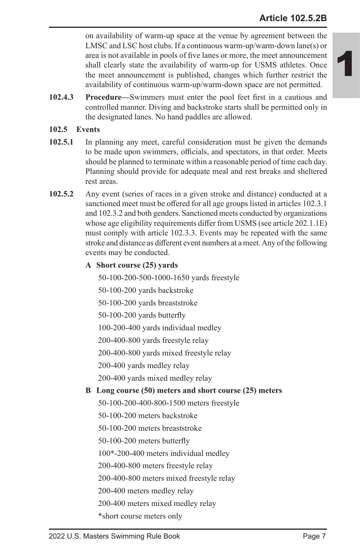on availability of warm-up space at the venue by agreement between the LMSC and LSC host clubs. If a continuous warm-up/warm-down lane(s) or area is not available in pools of five lanes or more, the meet announcement shall clearly state the availability of warm-up for USMS athletes. Once the meet announcement is published, changes which further restrict the availability of continuous warm-up/warm-down space are not permitted.

**102.4.3 Procedure—**Swimmers must enter the pool feet first in a cautious and controlled manner. Diving and backstroke starts shall be permitted only in the designated lanes. No hand paddles are allowed.

### **102.5 Events**

- **102.5.1** In planning any meet, careful consideration must be given the demands to be made upon swimmers, officials, and spectators, in that order. Meets should be planned to terminate within a reasonable period of time each day. Planning should provide for adequate meal and rest breaks and sheltered rest areas.
- **102.5.2** Any event (series of races in a given stroke and distance) conducted at a sanctioned meet must be offered for all age groups listed in articles 102.3.1 and 102.3.2 and both genders. Sanctioned meets conducted by organizations whose age eligibility requirements differ from USMS (see article 202.1.1E) must comply with article 102.3.3. Events may be repeated with the same stroke and distance as different event numbers at a meet. Any of the following events may be conducted.
	- **A Short course (25) yards**

50-100-200-500-1000-1650 yards freestyle

50-100-200 yards backstroke

50-100-200 yards breaststroke

50-100-200 yards butterfly

100-200-400 yards individual medley

200-400-800 yards freestyle relay

200-400-800 yards mixed freestyle relay

200-400 yards medley relay

200-400 yards mixed medley relay

# **B Long course (50) meters and short course (25) meters**

50-100-200-400-800-1500 meters freestyle

50-100-200 meters backstroke

50-100-200 meters breaststroke

50-100-200 meters butterfly

100\*-200-400 meters individual medley

200-400-800 meters freestyle relay

200-400-800 meters mixed freestyle relay

200-400 meters medley relay

200-400 meters mixed medley relay

\*short course meters only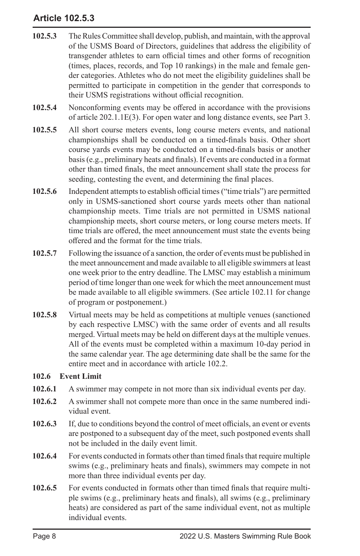# **Article 102.5.3**

- **102.5.3** The Rules Committee shall develop, publish, and maintain, with the approval of the USMS Board of Directors, guidelines that address the eligibility of transgender athletes to earn official times and other forms of recognition (times, places, records, and Top 10 rankings) in the male and female gender categories. Athletes who do not meet the eligibility guidelines shall be permitted to participate in competition in the gender that corresponds to their USMS registrations without official recognition.
- **102.5.4** Nonconforming events may be offered in accordance with the provisions of article 202.1.1E(3). For open water and long distance events, see Part 3.
- **102.5.5** All short course meters events, long course meters events, and national championships shall be conducted on a timed-finals basis. Other short course yards events may be conducted on a timed-finals basis or another basis (e.g., preliminary heats and finals). If events are conducted in a format other than timed finals, the meet announcement shall state the process for seeding, contesting the event, and determining the final places.
- **102.5.6** Independent attempts to establish official times ("time trials") are permitted only in USMS-sanctioned short course yards meets other than national championship meets. Time trials are not permitted in USMS national championship meets, short course meters, or long course meters meets. If time trials are offered, the meet announcement must state the events being offered and the format for the time trials.
- **102.5.7** Following the issuance of a sanction, the order of events must be published in the meet announcement and made available to all eligible swimmers at least one week prior to the entry deadline. The LMSC may establish a minimum period of time longer than one week for which the meet announcement must be made available to all eligible swimmers. (See article 102.11 for change of program or postponement.)
- **102.5.8** Virtual meets may be held as competitions at multiple venues (sanctioned by each respective LMSC) with the same order of events and all results merged. Virtual meets may be held on different days at the multiple venues. All of the events must be completed within a maximum 10-day period in the same calendar year. The age determining date shall be the same for the entire meet and in accordance with article 102.2.

### **102.6 Event Limit**

- **102.6.1** A swimmer may compete in not more than six individual events per day.
- **102.6.2** A swimmer shall not compete more than once in the same numbered individual event.
- **102.6.3** If, due to conditions beyond the control of meet officials, an event or events are postponed to a subsequent day of the meet, such postponed events shall not be included in the daily event limit.
- **102.6.4** For events conducted in formats other than timed finals that require multiple swims (e.g., preliminary heats and finals), swimmers may compete in not more than three individual events per day.
- **102.6.5** For events conducted in formats other than timed finals that require multiple swims (e.g., preliminary heats and finals), all swims (e.g., preliminary heats) are considered as part of the same individual event, not as multiple individual events.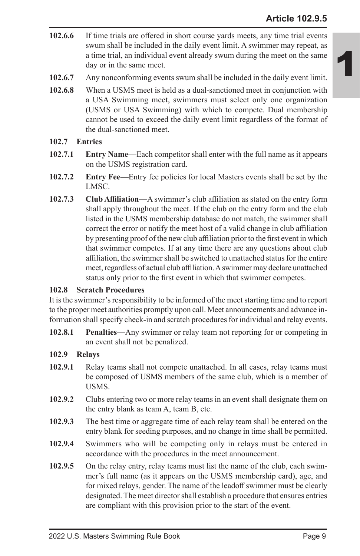- **102.6.6** If time trials are offered in short course yards meets, any time trial events swum shall be included in the daily event limit. A swimmer may repeat, as a time trial, an individual event already swum during the meet on the same day or in the same meet.
- **102.6.7** Any nonconforming events swum shall be included in the daily event limit.
- **102.6.8** When a USMS meet is held as a dual-sanctioned meet in conjunction with a USA Swimming meet, swimmers must select only one organization (USMS or USA Swimming) with which to compete. Dual membership cannot be used to exceed the daily event limit regardless of the format of the dual-sanctioned meet.
- **102.7 Entries**
- **102.7.1 Entry Name—**Each competitor shall enter with the full name as it appears on the USMS registration card.
- **102.7.2 Entry Fee—**Entry fee policies for local Masters events shall be set by the LMSC.
- **102.7.3 Club Affiliation—**A swimmer's club affiliation as stated on the entry form shall apply throughout the meet. If the club on the entry form and the club listed in the USMS membership database do not match, the swimmer shall correct the error or notify the meet host of a valid change in club affiliation by presenting proof of the new club affiliation prior to the first event in which that swimmer competes. If at any time there are any questions about club affiliation, the swimmer shall be switched to unattached status for the entire meet, regardless of actual club affiliation. A swimmer may declare unattached status only prior to the first event in which that swimmer competes.

### **102.8 Scratch Procedures**

It is the swimmer's responsibility to be informed of the meet starting time and to report to the proper meet authorities promptly upon call. Meet announcements and advance information shall specify check-in and scratch procedures for individual and relay events.

**102.8.1 Penalties—**Any swimmer or relay team not reporting for or competing in an event shall not be penalized.

### **102.9 Relays**

- **102.9.1** Relay teams shall not compete unattached. In all cases, relay teams must be composed of USMS members of the same club, which is a member of USMS.
- **102.9.2** Clubs entering two or more relay teams in an event shall designate them on the entry blank as team A, team B, etc.
- **102.9.3** The best time or aggregate time of each relay team shall be entered on the entry blank for seeding purposes, and no change in time shall be permitted.
- **102.9.4** Swimmers who will be competing only in relays must be entered in accordance with the procedures in the meet announcement.
- **102.9.5** On the relay entry, relay teams must list the name of the club, each swimmer's full name (as it appears on the USMS membership card), age, and for mixed relays, gender. The name of the leadoff swimmer must be clearly designated. The meet director shall establish a procedure that ensures entries are compliant with this provision prior to the start of the event.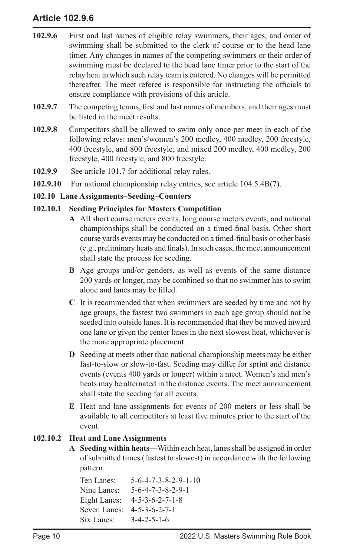# **Article 102.9.6**

- **102.9.6** First and last names of eligible relay swimmers, their ages, and order of swimming shall be submitted to the clerk of course or to the head lane timer. Any changes in names of the competing swimmers or their order of swimming must be declared to the head lane timer prior to the start of the relay heat in which such relay team is entered. No changes will be permitted thereafter. The meet referee is responsible for instructing the officials to ensure compliance with provisions of this article.
- **102.9.7** The competing teams, first and last names of members, and their ages must be listed in the meet results.
- **102.9.8** Competitors shall be allowed to swim only once per meet in each of the following relays: men's/women's 200 medley, 400 medley, 200 freestyle, 400 freestyle, and 800 freestyle; and mixed 200 medley, 400 medley, 200 freestyle, 400 freestyle, and 800 freestyle.
- **102.9.9** See article 101.7 for additional relay rules.
- **102.9.10** For national championship relay entries, see article 104.5.4B(7).

### **102.10 Lane Assignments–Seeding–Counters**

### **102.10.1 Seeding Principles for Masters Competition**

- **A** All short course meters events, long course meters events, and national championships shall be conducted on a timed-final basis. Other short course yards events may be conducted on a timed-final basis or other basis (e.g., preliminary heats and finals). In such cases, the meet announcement shall state the process for seeding.
- **B** Age groups and/or genders, as well as events of the same distance 200 yards or longer, may be combined so that no swimmer has to swim alone and lanes may be filled.
- **C** It is recommended that when swimmers are seeded by time and not by age groups, the fastest two swimmers in each age group should not be seeded into outside lanes. It is recommended that they be moved inward one lane or given the center lanes in the next slowest heat, whichever is the more appropriate placement.
- **D** Seeding at meets other than national championship meets may be either fast-to-slow or slow-to-fast. Seeding may differ for sprint and distance events (events 400 yards or longer) within a meet. Women's and men's heats may be alternated in the distance events. The meet announcement shall state the seeding for all events.
- **E** Heat and lane assignments for events of 200 meters or less shall be available to all competitors at least five minutes prior to the start of the event.

### **102.10.2 Heat and Lane Assignments**

**A Seeding within heats—**Within each heat, lanes shall be assigned in order of submitted times (fastest to slowest) in accordance with the following pattern:

```
Ten Lanes: 5-6-4-7-3-8-2-9-1-10
Nine Lanes: 5-6-4-7-3-8-2-9-1
Eight Lanes: 4-5-3-6-2-7-1-8
Seven Lanes: 4-5-3-6-2-7-1
Six Lanes: 3-4-2-5-1-6
```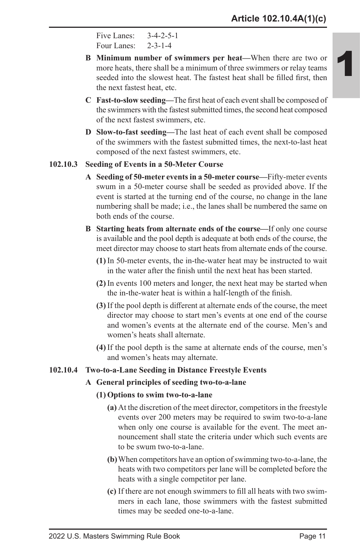```
Five Lanes: 3-4-2-5-1
Four Lanes: 2-3-1-4
```
- **B Minimum number of swimmers per heat—**When there are two or more heats, there shall be a minimum of three swimmers or relay teams seeded into the slowest heat. The fastest heat shall be filled first, then the next fastest heat, etc.
- **C Fast-to-slow seeding—**The first heat of each event shall be composed of the swimmers with the fastest submitted times, the second heat composed of the next fastest swimmers, etc.
- **D Slow-to-fast seeding—**The last heat of each event shall be composed of the swimmers with the fastest submitted times, the next-to-last heat composed of the next fastest swimmers, etc.

### **102.10.3 Seeding of Events in a 50-Meter Course**

- **A Seeding of 50-meter events in a 50-meter course—**Fifty-meter events swum in a 50-meter course shall be seeded as provided above. If the event is started at the turning end of the course, no change in the lane numbering shall be made; i.e., the lanes shall be numbered the same on both ends of the course.
- **B Starting heats from alternate ends of the course—**If only one course is available and the pool depth is adequate at both ends of the course, the meet director may choose to start heats from alternate ends of the course.
	- **(1)** In 50-meter events, the in-the-water heat may be instructed to wait in the water after the finish until the next heat has been started.
	- **(2)** In events 100 meters and longer, the next heat may be started when the in-the-water heat is within a half-length of the finish.
	- **(3)** If the pool depth is different at alternate ends of the course, the meet director may choose to start men's events at one end of the course and women's events at the alternate end of the course. Men's and women's heats shall alternate.
	- **(4)** If the pool depth is the same at alternate ends of the course, men's and women's heats may alternate.

#### **102.10.4 Two-to-a-Lane Seeding in Distance Freestyle Events**

### **A General principles of seeding two-to-a-lane**

#### **(1) Options to swim two-to-a-lane**

- **(a)** At the discretion of the meet director, competitors in the freestyle events over 200 meters may be required to swim two-to-a-lane when only one course is available for the event. The meet announcement shall state the criteria under which such events are to be swum two-to-a-lane.
- **(b)**When competitors have an option of swimming two-to-a-lane, the heats with two competitors per lane will be completed before the heats with a single competitor per lane.
- **(c)** If there are not enough swimmers to fill all heats with two swimmers in each lane, those swimmers with the fastest submitted times may be seeded one-to-a-lane.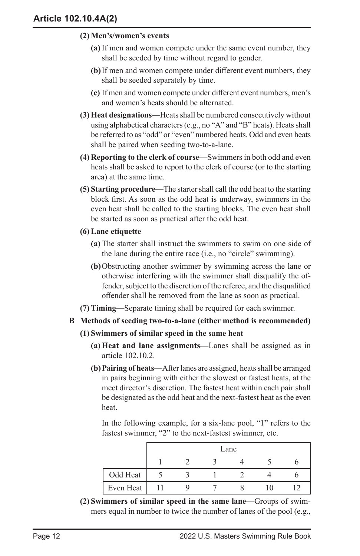### **(2) Men's/women's events**

- **(a)** If men and women compete under the same event number, they shall be seeded by time without regard to gender.
- **(b)**If men and women compete under different event numbers, they shall be seeded separately by time.
- **(c)** If men and women compete under different event numbers, men's and women's heats should be alternated.
- **(3) Heat designations—**Heats shall be numbered consecutively without using alphabetical characters (e.g., no "A" and "B" heats). Heats shall be referred to as "odd" or "even" numbered heats. Odd and even heats shall be paired when seeding two-to-a-lane.
- **(4) Reporting to the clerk of course—**Swimmers in both odd and even heats shall be asked to report to the clerk of course (or to the starting area) at the same time.
- **(5) Starting procedure—**The starter shall call the odd heat to the starting block first. As soon as the odd heat is underway, swimmers in the even heat shall be called to the starting blocks. The even heat shall be started as soon as practical after the odd heat.
- **(6) Lane etiquette**
	- **(a)** The starter shall instruct the swimmers to swim on one side of the lane during the entire race (i.e., no "circle" swimming).
	- **(b)**Obstructing another swimmer by swimming across the lane or otherwise interfering with the swimmer shall disqualify the offender, subject to the discretion of the referee, and the disqualified offender shall be removed from the lane as soon as practical.
- **(7) Timing—**Separate timing shall be required for each swimmer.

# **B Methods of seeding two-to-a-lane (either method is recommended)**

### **(1) Swimmers of similar speed in the same heat**

- **(a) Heat and lane assignments—**Lanes shall be assigned as in article 102.10.2.
- **(b)Pairing of heats—**After lanes are assigned, heats shall be arranged in pairs beginning with either the slowest or fastest heats, at the meet director's discretion. The fastest heat within each pair shall be designated as the odd heat and the next-fastest heat as the even heat.

In the following example, for a six-lane pool, "1" refers to the fastest swimmer, "2" to the next-fastest swimmer, etc.

|           | Lane |  |  |  |  |  |
|-----------|------|--|--|--|--|--|
|           |      |  |  |  |  |  |
| Odd Heat  |      |  |  |  |  |  |
| Even Heat |      |  |  |  |  |  |

**(2) Swimmers of similar speed in the same lane—**Groups of swimmers equal in number to twice the number of lanes of the pool (e.g.,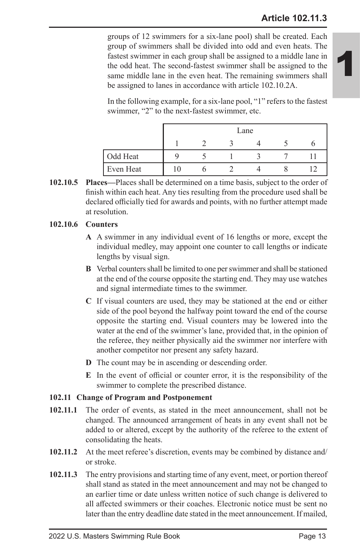# **Article 102.11.3**

1

groups of 12 swimmers for a six-lane pool) shall be created. Each group of swimmers shall be divided into odd and even heats. The fastest swimmer in each group shall be assigned to a middle lane in the odd heat. The second-fastest swimmer shall be assigned to the same middle lane in the even heat. The remaining swimmers shall be assigned to lanes in accordance with article 102.10.2A.

In the following example, for a six-lane pool, "1" refers to the fastest swimmer, "2" to the next-fastest swimmer, etc.

|           | Lane |  |  |  |  |
|-----------|------|--|--|--|--|
|           |      |  |  |  |  |
| Odd Heat  |      |  |  |  |  |
| Even Heat |      |  |  |  |  |

**102.10.5 Places—**Places shall be determined on a time basis, subject to the order of finish within each heat. Any ties resulting from the procedure used shall be declared officially tied for awards and points, with no further attempt made at resolution.

### **102.10.6 Counters**

- **A** A swimmer in any individual event of 16 lengths or more, except the individual medley, may appoint one counter to call lengths or indicate lengths by visual sign.
- **B** Verbal counters shall be limited to one per swimmer and shall be stationed at the end of the course opposite the starting end. They may use watches and signal intermediate times to the swimmer.
- **C** If visual counters are used, they may be stationed at the end or either side of the pool beyond the halfway point toward the end of the course opposite the starting end. Visual counters may be lowered into the water at the end of the swimmer's lane, provided that, in the opinion of the referee, they neither physically aid the swimmer nor interfere with another competitor nor present any safety hazard.
- **D** The count may be in ascending or descending order.
- **E** In the event of official or counter error, it is the responsibility of the swimmer to complete the prescribed distance.

#### **102.11 Change of Program and Postponement**

- **102.11.1** The order of events, as stated in the meet announcement, shall not be changed. The announced arrangement of heats in any event shall not be added to or altered, except by the authority of the referee to the extent of consolidating the heats.
- **102.11.2** At the meet referee's discretion, events may be combined by distance and/ or stroke.
- **102.11.3** The entry provisions and starting time of any event, meet, or portion thereof shall stand as stated in the meet announcement and may not be changed to an earlier time or date unless written notice of such change is delivered to all affected swimmers or their coaches. Electronic notice must be sent no later than the entry deadline date stated in the meet announcement. If mailed,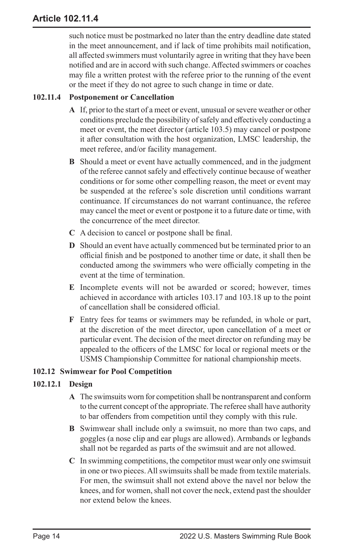such notice must be postmarked no later than the entry deadline date stated in the meet announcement, and if lack of time prohibits mail notification, all affected swimmers must voluntarily agree in writing that they have been notified and are in accord with such change. Affected swimmers or coaches may file a written protest with the referee prior to the running of the event or the meet if they do not agree to such change in time or date.

# **102.11.4 Postponement or Cancellation**

- **A** If, prior to the start of a meet or event, unusual or severe weather or other conditions preclude the possibility of safely and effectively conducting a meet or event, the meet director (article 103.5) may cancel or postpone it after consultation with the host organization, LMSC leadership, the meet referee, and/or facility management.
- **B** Should a meet or event have actually commenced, and in the judgment of the referee cannot safely and effectively continue because of weather conditions or for some other compelling reason, the meet or event may be suspended at the referee's sole discretion until conditions warrant continuance. If circumstances do not warrant continuance, the referee may cancel the meet or event or postpone it to a future date or time, with the concurrence of the meet director.
- **C** A decision to cancel or postpone shall be final.
- **D** Should an event have actually commenced but be terminated prior to an official finish and be postponed to another time or date, it shall then be conducted among the swimmers who were officially competing in the event at the time of termination.
- **E** Incomplete events will not be awarded or scored; however, times achieved in accordance with articles 103.17 and 103.18 up to the point of cancellation shall be considered official.
- **F** Entry fees for teams or swimmers may be refunded, in whole or part, at the discretion of the meet director, upon cancellation of a meet or particular event. The decision of the meet director on refunding may be appealed to the officers of the LMSC for local or regional meets or the USMS Championship Committee for national championship meets.

# **102.12 Swimwear for Pool Competition**

# **102.12.1 Design**

- **A** The swimsuits worn for competition shall be nontransparent and conform to the current concept of the appropriate. The referee shall have authority to bar offenders from competition until they comply with this rule.
- **B** Swimwear shall include only a swimsuit, no more than two caps, and goggles (a nose clip and ear plugs are allowed). Armbands or legbands shall not be regarded as parts of the swimsuit and are not allowed.
- **C** In swimming competitions, the competitor must wear only one swimsuit in one or two pieces. All swimsuits shall be made from textile materials. For men, the swimsuit shall not extend above the navel nor below the knees, and for women, shall not cover the neck, extend past the shoulder nor extend below the knees.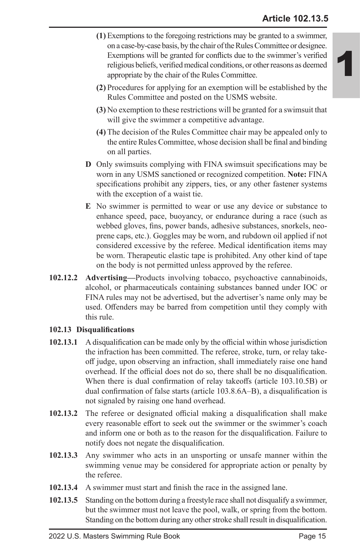- **(1)** Exemptions to the foregoing restrictions may be granted to a swimmer, on a case-by-case basis, by the chair of the Rules Committee or designee. Exemptions will be granted for conflicts due to the swimmer's verified religious beliefs, verified medical conditions, or other reasons as deemed appropriate by the chair of the Rules Committee.
- **(2)** Procedures for applying for an exemption will be established by the Rules Committee and posted on the USMS website.
- **(3)** No exemption to these restrictions will be granted for a swimsuit that will give the swimmer a competitive advantage.
- **(4)** The decision of the Rules Committee chair may be appealed only to the entire Rules Committee, whose decision shall be final and binding on all parties.
- **D** Only swimsuits complying with FINA swimsuit specifications may be worn in any USMS sanctioned or recognized competition. **Note:** FINA specifications prohibit any zippers, ties, or any other fastener systems with the exception of a waist tie.
- **E** No swimmer is permitted to wear or use any device or substance to enhance speed, pace, buoyancy, or endurance during a race (such as webbed gloves, fins, power bands, adhesive substances, snorkels, neoprene caps, etc.). Goggles may be worn, and rubdown oil applied if not considered excessive by the referee. Medical identification items may be worn. Therapeutic elastic tape is prohibited. Any other kind of tape on the body is not permitted unless approved by the referee.
- **102.12.2 Advertising—**Products involving tobacco, psychoactive cannabinoids, alcohol, or pharmaceuticals containing substances banned under IOC or FINA rules may not be advertised, but the advertiser's name only may be used. Offenders may be barred from competition until they comply with this rule.

# **102.13 Disqualifications**

- **102.13.1** A disqualification can be made only by the official within whose jurisdiction the infraction has been committed. The referee, stroke, turn, or relay takeoff judge, upon observing an infraction, shall immediately raise one hand overhead. If the official does not do so, there shall be no disqualification. When there is dual confirmation of relay takeoffs (article 103.10.5B) or dual confirmation of false starts (article 103.8.6A–B), a disqualification is not signaled by raising one hand overhead.
- **102.13.2** The referee or designated official making a disqualification shall make every reasonable effort to seek out the swimmer or the swimmer's coach and inform one or both as to the reason for the disqualification. Failure to notify does not negate the disqualification.
- **102.13.3** Any swimmer who acts in an unsporting or unsafe manner within the swimming venue may be considered for appropriate action or penalty by the referee.
- **102.13.4** A swimmer must start and finish the race in the assigned lane.
- **102.13.5** Standing on the bottom during a freestyle race shall not disqualify a swimmer, but the swimmer must not leave the pool, walk, or spring from the bottom. Standing on the bottom during any other stroke shall result in disqualification.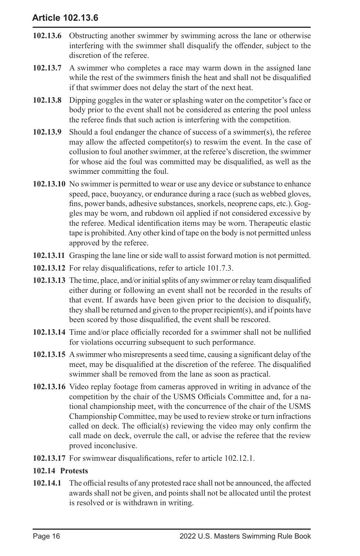# **Article 102.13.6**

- **102.13.6** Obstructing another swimmer by swimming across the lane or otherwise interfering with the swimmer shall disqualify the offender, subject to the discretion of the referee.
- **102.13.7** A swimmer who completes a race may warm down in the assigned lane while the rest of the swimmers finish the heat and shall not be disqualified if that swimmer does not delay the start of the next heat.
- **102.13.8** Dipping goggles in the water or splashing water on the competitor's face or body prior to the event shall not be considered as entering the pool unless the referee finds that such action is interfering with the competition.
- **102.13.9** Should a foul endanger the chance of success of a swimmer(s), the referee may allow the affected competitor(s) to reswim the event. In the case of collusion to foul another swimmer, at the referee's discretion, the swimmer for whose aid the foul was committed may be disqualified, as well as the swimmer committing the foul.
- **102.13.10** No swimmer is permitted to wear or use any device or substance to enhance speed, pace, buoyancy, or endurance during a race (such as webbed gloves, fins, power bands, adhesive substances, snorkels, neoprene caps, etc.). Goggles may be worn, and rubdown oil applied if not considered excessive by the referee. Medical identification items may be worn. Therapeutic elastic tape is prohibited. Any other kind of tape on the body is not permitted unless approved by the referee.
- **102.13.11** Grasping the lane line or side wall to assist forward motion is not permitted.
- **102.13.12** For relay disqualifications, refer to article 101.7.3.
- **102.13.13** The time, place, and/or initial splits of any swimmer or relay team disqualified either during or following an event shall not be recorded in the results of that event. If awards have been given prior to the decision to disqualify, they shall be returned and given to the proper recipient(s), and if points have been scored by those disqualified, the event shall be rescored.
- **102.13.14** Time and/or place officially recorded for a swimmer shall not be nullified for violations occurring subsequent to such performance.
- **102.13.15** A swimmer who misrepresents a seed time, causing a significant delay of the meet, may be disqualified at the discretion of the referee. The disqualified swimmer shall be removed from the lane as soon as practical.
- **102.13.16** Video replay footage from cameras approved in writing in advance of the competition by the chair of the USMS Officials Committee and, for a national championship meet, with the concurrence of the chair of the USMS Championship Committee, may be used to review stroke or turn infractions called on deck. The official(s) reviewing the video may only confirm the call made on deck, overrule the call, or advise the referee that the review proved inconclusive.
- **102.13.17** For swimwear disqualifications, refer to article 102.12.1.

### **102.14 Protests**

**102.14.1** The official results of any protested race shall not be announced, the affected awards shall not be given, and points shall not be allocated until the protest is resolved or is withdrawn in writing.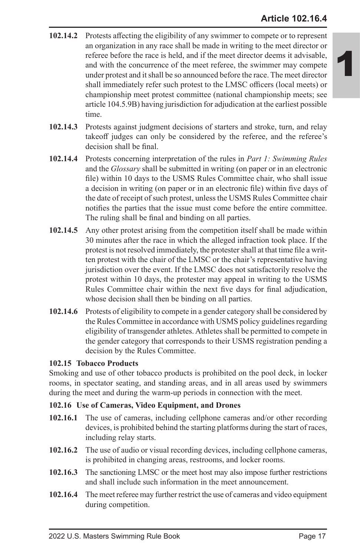- **102.14.2** Protests affecting the eligibility of any swimmer to compete or to represent an organization in any race shall be made in writing to the meet director or referee before the race is held, and if the meet director deems it advisable, and with the concurrence of the meet referee, the swimmer may compete under protest and it shall be so announced before the race. The meet director shall immediately refer such protest to the LMSC officers (local meets) or championship meet protest committee (national championship meets; see article 104.5.9B) having jurisdiction for adjudication at the earliest possible time.
- **102.14.3** Protests against judgment decisions of starters and stroke, turn, and relay takeoff judges can only be considered by the referee, and the referee's decision shall be final.
- **102.14.4** Protests concerning interpretation of the rules in *Part 1: Swimming Rules*  and the *Glossary* shall be submitted in writing (on paper or in an electronic file) within 10 days to the USMS Rules Committee chair, who shall issue a decision in writing (on paper or in an electronic file) within five days of the date of receipt of such protest, unless the USMS Rules Committee chair notifies the parties that the issue must come before the entire committee. The ruling shall be final and binding on all parties.
- **102.14.5** Any other protest arising from the competition itself shall be made within 30 minutes after the race in which the alleged infraction took place. If the protest is not resolved immediately, the protester shall at that time file a written protest with the chair of the LMSC or the chair's representative having jurisdiction over the event. If the LMSC does not satisfactorily resolve the protest within 10 days, the protester may appeal in writing to the USMS Rules Committee chair within the next five days for final adjudication, whose decision shall then be binding on all parties.
- **102.14.6** Protests of eligibility to compete in a gender category shall be considered by the Rules Committee in accordance with USMS policy guidelines regarding eligibility of transgender athletes. Athletes shall be permitted to compete in the gender category that corresponds to their USMS registration pending a decision by the Rules Committee.

### **102.15 Tobacco Products**

Smoking and use of other tobacco products is prohibited on the pool deck, in locker rooms, in spectator seating, and standing areas, and in all areas used by swimmers during the meet and during the warm-up periods in connection with the meet.

# **102.16 Use of Cameras, Video Equipment, and Drones**

- **102.16.1** The use of cameras, including cellphone cameras and/or other recording devices, is prohibited behind the starting platforms during the start of races, including relay starts.
- **102.16.2** The use of audio or visual recording devices, including cellphone cameras, is prohibited in changing areas, restrooms, and locker rooms.
- **102.16.3** The sanctioning LMSC or the meet host may also impose further restrictions and shall include such information in the meet announcement.
- **102.16.4** The meet referee may further restrict the use of cameras and video equipment during competition.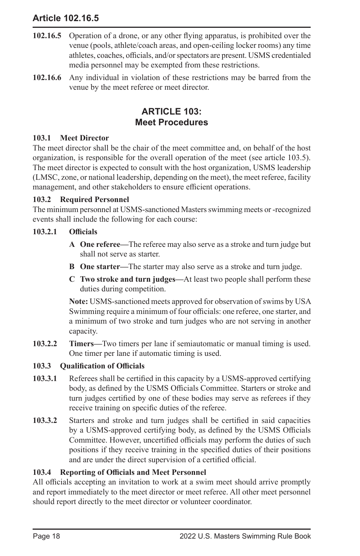# **Article 102.16.5**

- **102.16.5** Operation of a drone, or any other flying apparatus, is prohibited over the venue (pools, athlete/coach areas, and open-ceiling locker rooms) any time athletes, coaches, officials, and/or spectators are present. USMS credentialed media personnel may be exempted from these restrictions.
- **102.16.6** Any individual in violation of these restrictions may be barred from the venue by the meet referee or meet director.

# **ARTICLE 103: Meet Procedures**

### **103.1 Meet Director**

The meet director shall be the chair of the meet committee and, on behalf of the host organization, is responsible for the overall operation of the meet (see article 103.5). The meet director is expected to consult with the host organization, USMS leadership (LMSC, zone, or national leadership, depending on the meet), the meet referee, facility management, and other stakeholders to ensure efficient operations.

### **103.2 Required Personnel**

The minimum personnel at USMS-sanctioned Masters swimming meets or -recognized events shall include the following for each course:

### **103.2.1 Officials**

- **A One referee—**The referee may also serve as a stroke and turn judge but shall not serve as starter.
- **B One starter—**The starter may also serve as a stroke and turn judge.
- **C Two stroke and turn judges—**At least two people shall perform these duties during competition.

**Note:** USMS-sanctioned meets approved for observation of swims by USA Swimming require a minimum of four officials: one referee, one starter, and a minimum of two stroke and turn judges who are not serving in another capacity.

**103.2.2 Timers—**Two timers per lane if semiautomatic or manual timing is used. One timer per lane if automatic timing is used.

# **103.3 Qualification of Officials**

- **103.3.1** Referees shall be certified in this capacity by a USMS-approved certifying body, as defined by the USMS Officials Committee. Starters or stroke and turn judges certified by one of these bodies may serve as referees if they receive training on specific duties of the referee.
- **103.3.2** Starters and stroke and turn judges shall be certified in said capacities by a USMS-approved certifying body, as defined by the USMS Officials Committee. However, uncertified officials may perform the duties of such positions if they receive training in the specified duties of their positions and are under the direct supervision of a certified official.

# **103.4 Reporting of Officials and Meet Personnel**

All officials accepting an invitation to work at a swim meet should arrive promptly and report immediately to the meet director or meet referee. All other meet personnel should report directly to the meet director or volunteer coordinator.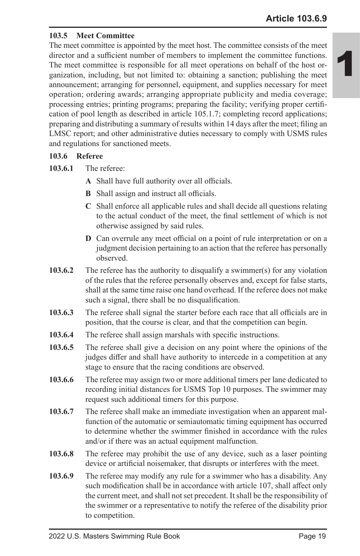### **103.5 Meet Committee**

The meet committee is appointed by the meet host. The committee consists of the meet director and a sufficient number of members to implement the committee functions. The meet committee is responsible for all meet operations on behalf of the host organization, including, but not limited to: obtaining a sanction; publishing the meet announcement; arranging for personnel, equipment, and supplies necessary for meet operation; ordering awards; arranging appropriate publicity and media coverage; processing entries; printing programs; preparing the facility; verifying proper certification of pool length as described in article 105.1.7; completing record applications; preparing and distributing a summary of results within 14 days after the meet; filing an LMSC report; and other administrative duties necessary to comply with USMS rules and regulations for sanctioned meets.

### **103.6 Referee**

**103.6.1** The referee:

- **A** Shall have full authority over all officials.
- **B** Shall assign and instruct all officials.
- **C** Shall enforce all applicable rules and shall decide all questions relating to the actual conduct of the meet, the final settlement of which is not otherwise assigned by said rules.
- **D** Can overrule any meet official on a point of rule interpretation or on a judgment decision pertaining to an action that the referee has personally observed.
- **103.6.2** The referee has the authority to disqualify a swimmer(s) for any violation of the rules that the referee personally observes and, except for false starts, shall at the same time raise one hand overhead. If the referee does not make such a signal, there shall be no disqualification.
- **103.6.3** The referee shall signal the starter before each race that all officials are in position, that the course is clear, and that the competition can begin.
- **103.6.4** The referee shall assign marshals with specific instructions.
- **103.6.5** The referee shall give a decision on any point where the opinions of the judges differ and shall have authority to intercede in a competition at any stage to ensure that the racing conditions are observed.
- **103.6.6** The referee may assign two or more additional timers per lane dedicated to recording initial distances for USMS Top 10 purposes. The swimmer may request such additional timers for this purpose.
- **103.6.7** The referee shall make an immediate investigation when an apparent malfunction of the automatic or semiautomatic timing equipment has occurred to determine whether the swimmer finished in accordance with the rules and/or if there was an actual equipment malfunction.
- **103.6.8** The referee may prohibit the use of any device, such as a laser pointing device or artificial noisemaker, that disrupts or interferes with the meet.
- **103.6.9** The referee may modify any rule for a swimmer who has a disability. Any such modification shall be in accordance with article 107, shall affect only the current meet, and shall not set precedent. It shall be the responsibility of the swimmer or a representative to notify the referee of the disability prior to competition.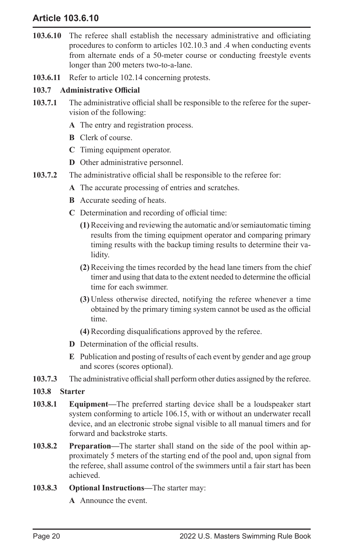# **Article 103.6.10**

- **103.6.10** The referee shall establish the necessary administrative and officiating procedures to conform to articles 102.10.3 and .4 when conducting events from alternate ends of a 50-meter course or conducting freestyle events longer than 200 meters two-to-a-lane.
- **103.6.11** Refer to article 102.14 concerning protests.

### **103.7 Administrative Official**

- **103.7.1** The administrative official shall be responsible to the referee for the supervision of the following:
	- **A** The entry and registration process.
	- **B** Clerk of course.
	- **C** Timing equipment operator.
	- **D** Other administrative personnel.
- **103.7.2** The administrative official shall be responsible to the referee for:
	- **A** The accurate processing of entries and scratches.
	- **B** Accurate seeding of heats.
	- **C** Determination and recording of official time:
		- **(1)** Receiving and reviewing the automatic and/or semiautomatic timing results from the timing equipment operator and comparing primary timing results with the backup timing results to determine their validity.
		- **(2)** Receiving the times recorded by the head lane timers from the chief timer and using that data to the extent needed to determine the official time for each swimmer.
		- **(3)** Unless otherwise directed, notifying the referee whenever a time obtained by the primary timing system cannot be used as the official time.
		- **(4)** Recording disqualifications approved by the referee.
	- **D** Determination of the official results.
	- **E** Publication and posting of results of each event by gender and age group and scores (scores optional).
- **103.7.3** The administrative official shall perform other duties assigned by the referee.
- **103.8 Starter**
- **103.8.1 Equipment—**The preferred starting device shall be a loudspeaker start system conforming to article 106.15, with or without an underwater recall device, and an electronic strobe signal visible to all manual timers and for forward and backstroke starts.
- **103.8.2 Preparation—**The starter shall stand on the side of the pool within approximately 5 meters of the starting end of the pool and, upon signal from the referee, shall assume control of the swimmers until a fair start has been achieved.
- **103.8.3 Optional Instructions—**The starter may:
	- **A** Announce the event.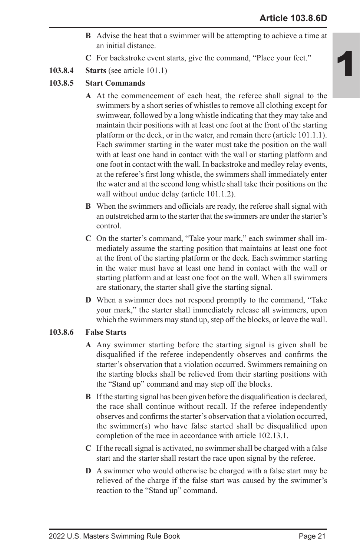- **B** Advise the heat that a swimmer will be attempting to achieve a time at an initial distance.
- **C** For backstroke event starts, give the command, "Place your feet."
- **103.8.4 Starts** (see article 101.1)
- **103.8.5 Start Commands**
	- **A** At the commencement of each heat, the referee shall signal to the swimmers by a short series of whistles to remove all clothing except for swimwear, followed by a long whistle indicating that they may take and maintain their positions with at least one foot at the front of the starting platform or the deck, or in the water, and remain there (article 101.1.1). Each swimmer starting in the water must take the position on the wall with at least one hand in contact with the wall or starting platform and one foot in contact with the wall. In backstroke and medley relay events, at the referee's first long whistle, the swimmers shall immediately enter the water and at the second long whistle shall take their positions on the wall without undue delay (article 101.1.2).
	- **B** When the swimmers and officials are ready, the referee shall signal with an outstretched arm to the starter that the swimmers are under the starter's control.
	- **C** On the starter's command, "Take your mark," each swimmer shall immediately assume the starting position that maintains at least one foot at the front of the starting platform or the deck. Each swimmer starting in the water must have at least one hand in contact with the wall or starting platform and at least one foot on the wall. When all swimmers are stationary, the starter shall give the starting signal.
	- **D** When a swimmer does not respond promptly to the command, "Take your mark," the starter shall immediately release all swimmers, upon which the swimmers may stand up, step off the blocks, or leave the wall.

### **103.8.6 False Starts**

- **A** Any swimmer starting before the starting signal is given shall be disqualified if the referee independently observes and confirms the starter's observation that a violation occurred. Swimmers remaining on the starting blocks shall be relieved from their starting positions with the "Stand up" command and may step off the blocks.
- **B** If the starting signal has been given before the disqualification is declared, the race shall continue without recall. If the referee independently observes and confirms the starter's observation that a violation occurred, the swimmer(s) who have false started shall be disqualified upon completion of the race in accordance with article 102.13.1.
- **C** If the recall signal is activated, no swimmer shall be charged with a false start and the starter shall restart the race upon signal by the referee.
- **D** A swimmer who would otherwise be charged with a false start may be relieved of the charge if the false start was caused by the swimmer's reaction to the "Stand up" command.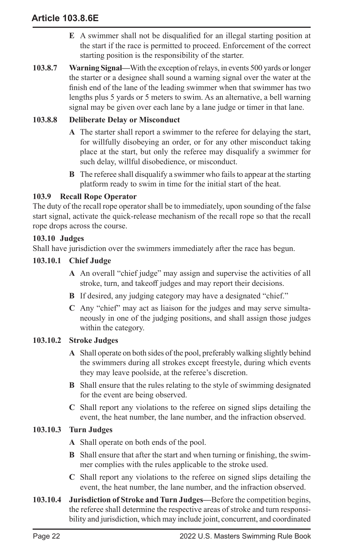- **E** A swimmer shall not be disqualified for an illegal starting position at the start if the race is permitted to proceed. Enforcement of the correct starting position is the responsibility of the starter.
- **103.8.7 Warning Signal—**With the exception of relays, in events 500 yards or longer the starter or a designee shall sound a warning signal over the water at the finish end of the lane of the leading swimmer when that swimmer has two lengths plus 5 yards or 5 meters to swim. As an alternative, a bell warning signal may be given over each lane by a lane judge or timer in that lane.

### **103.8.8 Deliberate Delay or Misconduct**

- **A** The starter shall report a swimmer to the referee for delaying the start, for willfully disobeying an order, or for any other misconduct taking place at the start, but only the referee may disqualify a swimmer for such delay, willful disobedience, or misconduct.
- **B** The referee shall disqualify a swimmer who fails to appear at the starting platform ready to swim in time for the initial start of the heat.

## **103.9 Recall Rope Operator**

The duty of the recall rope operator shall be to immediately, upon sounding of the false start signal, activate the quick-release mechanism of the recall rope so that the recall rope drops across the course.

### **103.10 Judges**

Shall have jurisdiction over the swimmers immediately after the race has begun.

### **103.10.1 Chief Judge**

- **A** An overall "chief judge" may assign and supervise the activities of all stroke, turn, and takeoff judges and may report their decisions.
- **B** If desired, any judging category may have a designated "chief."
- **C** Any "chief" may act as liaison for the judges and may serve simultaneously in one of the judging positions, and shall assign those judges within the category.

### **103.10.2 Stroke Judges**

- **A** Shall operate on both sides of the pool, preferably walking slightly behind the swimmers during all strokes except freestyle, during which events they may leave poolside, at the referee's discretion.
- **B** Shall ensure that the rules relating to the style of swimming designated for the event are being observed.
- **C** Shall report any violations to the referee on signed slips detailing the event, the heat number, the lane number, and the infraction observed.

# **103.10.3 Turn Judges**

**A** Shall operate on both ends of the pool.

- **B** Shall ensure that after the start and when turning or finishing, the swimmer complies with the rules applicable to the stroke used.
- **C** Shall report any violations to the referee on signed slips detailing the event, the heat number, the lane number, and the infraction observed.
- **103.10.4 Jurisdiction of Stroke and Turn Judges—**Before the competition begins, the referee shall determine the respective areas of stroke and turn responsibility and jurisdiction, which may include joint, concurrent, and coordinated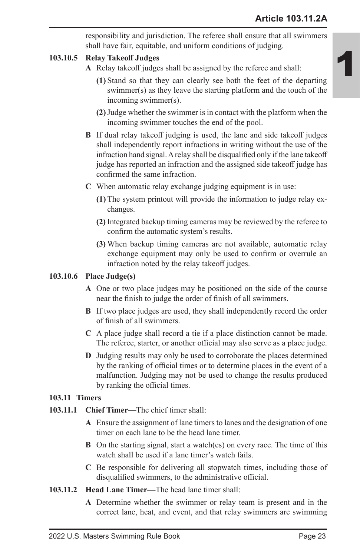responsibility and jurisdiction. The referee shall ensure that all swimmers shall have fair, equitable, and uniform conditions of judging.

## **103.10.5 Relay Takeoff Judges**

- **A** Relay takeoff judges shall be assigned by the referee and shall:
	- **(1)** Stand so that they can clearly see both the feet of the departing swimmer(s) as they leave the starting platform and the touch of the incoming swimmer(s).
	- **(2)**Judge whether the swimmer is in contact with the platform when the incoming swimmer touches the end of the pool.
- **B** If dual relay takeoff judging is used, the lane and side takeoff judges shall independently report infractions in writing without the use of the infraction hand signal. A relay shall be disqualified only if the lane takeoff judge has reported an infraction and the assigned side takeoff judge has confirmed the same infraction.
- **C** When automatic relay exchange judging equipment is in use:
	- **(1)** The system printout will provide the information to judge relay exchanges.
	- **(2)** Integrated backup timing cameras may be reviewed by the referee to confirm the automatic system's results.
	- **(3)** When backup timing cameras are not available, automatic relay exchange equipment may only be used to confirm or overrule an infraction noted by the relay takeoff judges.

### **103.10.6 Place Judge(s)**

- **A** One or two place judges may be positioned on the side of the course near the finish to judge the order of finish of all swimmers.
- **B** If two place judges are used, they shall independently record the order of finish of all swimmers.
- **C** A place judge shall record a tie if a place distinction cannot be made. The referee, starter, or another official may also serve as a place judge.
- **D** Judging results may only be used to corroborate the places determined by the ranking of official times or to determine places in the event of a malfunction. Judging may not be used to change the results produced by ranking the official times.

# **103.11 Timers**

### **103.11.1 Chief Timer—**The chief timer shall:

- **A** Ensure the assignment of lane timers to lanes and the designation of one timer on each lane to be the head lane timer.
- **B** On the starting signal, start a watch(es) on every race. The time of this watch shall be used if a lane timer's watch fails.
- **C** Be responsible for delivering all stopwatch times, including those of disqualified swimmers, to the administrative official.
- **103.11.2 Head Lane Timer—**The head lane timer shall:
	- **A** Determine whether the swimmer or relay team is present and in the correct lane, heat, and event, and that relay swimmers are swimming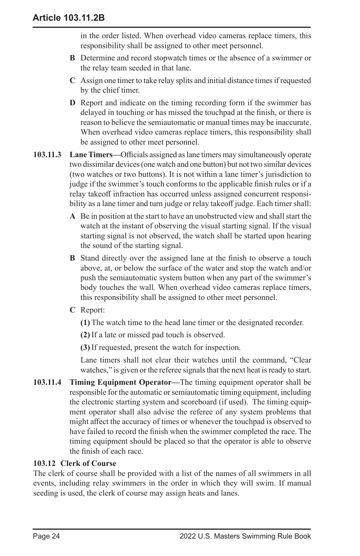in the order listed. When overhead video cameras replace timers, this responsibility shall be assigned to other meet personnel.

- **B** Determine and record stopwatch times or the absence of a swimmer or the relay team seeded in that lane.
- **C** Assign one timer to take relay splits and initial distance times if requested by the chief timer.
- **D** Report and indicate on the timing recording form if the swimmer has delayed in touching or has missed the touchpad at the finish, or there is reason to believe the semiautomatic or manual times may be inaccurate. When overhead video cameras replace timers, this responsibility shall be assigned to other meet personnel.
- **103.11.3 Lane Timers—**Officials assigned as lane timers may simultaneously operate two dissimilar devices (one watch and one button) but not two similar devices (two watches or two buttons). It is not within a lane timer's jurisdiction to judge if the swimmer's touch conforms to the applicable finish rules or if a relay takeoff infraction has occurred unless assigned concurrent responsibility as a lane timer and turn judge or relay takeoff judge. Each timer shall:
	- **A** Be in position at the start to have an unobstructed view and shall start the watch at the instant of observing the visual starting signal. If the visual starting signal is not observed, the watch shall be started upon hearing the sound of the starting signal.
	- **B** Stand directly over the assigned lane at the finish to observe a touch above, at, or below the surface of the water and stop the watch and/or push the semiautomatic system button when any part of the swimmer's body touches the wall. When overhead video cameras replace timers, this responsibility shall be assigned to other meet personnel.
	- **C** Report:
		- **(1)** The watch time to the head lane timer or the designated recorder.
		- **(2)** If a late or missed pad touch is observed.
		- **(3)** If requested, present the watch for inspection.

Lane timers shall not clear their watches until the command, "Clear watches," is given or the referee signals that the next heat is ready to start.

**103.11.4 Timing Equipment Operator—**The timing equipment operator shall be responsible for the automatic or semiautomatic timing equipment, including the electronic starting system and scoreboard (if used). The timing equipment operator shall also advise the referee of any system problems that might affect the accuracy of times or whenever the touchpad is observed to have failed to record the finish when the swimmer completed the race. The timing equipment should be placed so that the operator is able to observe the finish of each race.

# **103.12 Clerk of Course**

The clerk of course shall be provided with a list of the names of all swimmers in all events, including relay swimmers in the order in which they will swim. If manual seeding is used, the clerk of course may assign heats and lanes.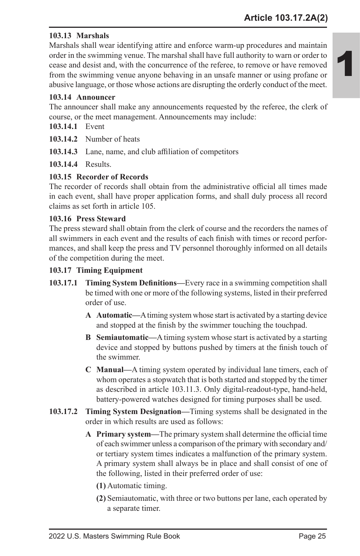# **103.13 Marshals**

Marshals shall wear identifying attire and enforce warm-up procedures and maintain order in the swimming venue. The marshal shall have full authority to warn or order to cease and desist and, with the concurrence of the referee, to remove or have removed from the swimming venue anyone behaving in an unsafe manner or using profane or abusive language, or those whose actions are disrupting the orderly conduct of the meet.

### **103.14 Announcer**

The announcer shall make any announcements requested by the referee, the clerk of course, or the meet management. Announcements may include:

**103.14.1** Event

**103.14.2** Number of heats

**103.14.3** Lane, name, and club affiliation of competitors

**103.14.4** Results.

### **103.15 Recorder of Records**

The recorder of records shall obtain from the administrative official all times made in each event, shall have proper application forms, and shall duly process all record claims as set forth in article 105.

### **103.16 Press Steward**

The press steward shall obtain from the clerk of course and the recorders the names of all swimmers in each event and the results of each finish with times or record performances, and shall keep the press and TV personnel thoroughly informed on all details of the competition during the meet.

### **103.17 Timing Equipment**

- **103.17.1 Timing System Definitions—**Every race in a swimming competition shall be timed with one or more of the following systems, listed in their preferred order of use.
	- **A Automatic—**A timing system whose start is activated by a starting device and stopped at the finish by the swimmer touching the touchpad.
	- **B Semiautomatic—**A timing system whose start is activated by a starting device and stopped by buttons pushed by timers at the finish touch of the swimmer.
	- **C Manual—**A timing system operated by individual lane timers, each of whom operates a stopwatch that is both started and stopped by the timer as described in article 103.11.3. Only digital-readout-type, hand-held, battery-powered watches designed for timing purposes shall be used.
- **103.17.2 Timing System Designation—**Timing systems shall be designated in the order in which results are used as follows:
	- **A Primary system—**The primary system shall determine the official time of each swimmer unless a comparison of the primary with secondary and/ or tertiary system times indicates a malfunction of the primary system. A primary system shall always be in place and shall consist of one of the following, listed in their preferred order of use:
		- **(1)** Automatic timing.
		- **(2)** Semiautomatic, with three or two buttons per lane, each operated by a separate timer.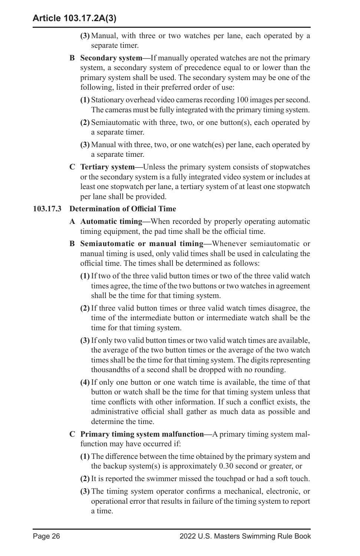- **(3)** Manual, with three or two watches per lane, each operated by a separate timer.
- **B Secondary system—**If manually operated watches are not the primary system, a secondary system of precedence equal to or lower than the primary system shall be used. The secondary system may be one of the following, listed in their preferred order of use:
	- **(1)** Stationary overhead video cameras recording 100 images per second. The cameras must be fully integrated with the primary timing system.
	- **(2)** Semiautomatic with three, two, or one button(s), each operated by a separate timer.
	- **(3)** Manual with three, two, or one watch(es) per lane, each operated by a separate timer.
- **C Tertiary system—**Unless the primary system consists of stopwatches or the secondary system is a fully integrated video system or includes at least one stopwatch per lane, a tertiary system of at least one stopwatch per lane shall be provided.

### **103.17.3 Determination of Official Time**

- **A Automatic timing—**When recorded by properly operating automatic timing equipment, the pad time shall be the official time.
- **B Semiautomatic or manual timing—**Whenever semiautomatic or manual timing is used, only valid times shall be used in calculating the official time. The times shall be determined as follows:
	- **(1)** If two of the three valid button times or two of the three valid watch times agree, the time of the two buttons or two watches in agreement shall be the time for that timing system.
	- **(2)** If three valid button times or three valid watch times disagree, the time of the intermediate button or intermediate watch shall be the time for that timing system.
	- **(3)** If only two valid button times or two valid watch times are available, the average of the two button times or the average of the two watch times shall be the time for that timing system. The digits representing thousandths of a second shall be dropped with no rounding.
	- **(4)** If only one button or one watch time is available, the time of that button or watch shall be the time for that timing system unless that time conflicts with other information. If such a conflict exists, the administrative official shall gather as much data as possible and determine the time.
- **C Primary timing system malfunction—**A primary timing system malfunction may have occurred if:
	- **(1)** The difference between the time obtained by the primary system and the backup system(s) is approximately 0.30 second or greater, or
	- **(2)** It is reported the swimmer missed the touchpad or had a soft touch.
	- **(3)** The timing system operator confirms a mechanical, electronic, or operational error that results in failure of the timing system to report a time.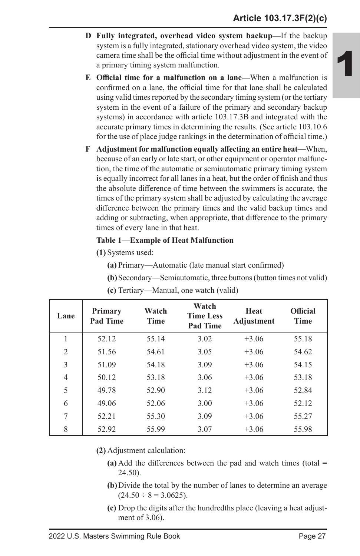- **D Fully integrated, overhead video system backup—**If the backup system is a fully integrated, stationary overhead video system, the video camera time shall be the official time without adjustment in the event of a primary timing system malfunction.
- **E Official time for a malfunction on a lane—**When a malfunction is confirmed on a lane, the official time for that lane shall be calculated using valid times reported by the secondary timing system (or the tertiary system in the event of a failure of the primary and secondary backup systems) in accordance with article 103.17.3B and integrated with the accurate primary times in determining the results. (See article 103.10.6 for the use of place judge rankings in the determination of official time.)
- **F Adjustment for malfunction equally affecting an entire heat—**When, because of an early or late start, or other equipment or operator malfunction, the time of the automatic or semiautomatic primary timing system is equally incorrect for all lanes in a heat, but the order of finish and thus the absolute difference of time between the swimmers is accurate, the times of the primary system shall be adjusted by calculating the average difference between the primary times and the valid backup times and adding or subtracting, when appropriate, that difference to the primary times of every lane in that heat.

### **Table 1—Example of Heat Malfunction**

**(1)** Systems used:

**(a)** Primary—Automatic (late manual start confirmed)

**(b)**Secondary—Semiautomatic, three buttons (button times not valid)

| Lane           | <b>Primary</b><br><b>Pad Time</b> | Watch<br><b>Time</b> | Watch<br><b>Time Less</b><br><b>Pad Time</b> | Heat<br>Adjustment | <b>Official</b><br><b>Time</b> |
|----------------|-----------------------------------|----------------------|----------------------------------------------|--------------------|--------------------------------|
| 1              | 52.12                             | 55.14                | 3.02                                         | $+3.06$            | 55.18                          |
| $\overline{2}$ | 51.56                             | 54.61                | 3.05                                         | $+3.06$            | 54.62                          |
| 3              | 51.09                             | 54.18                | 3.09                                         | $+3.06$            | 54.15                          |
| 4              | 50.12                             | 53.18                | 3.06                                         | $+3.06$            | 53.18                          |
| 5              | 49.78                             | 52.90                | 3.12                                         | $+3.06$            | 52.84                          |
| 6              | 49.06                             | 52.06                | 3.00                                         | $+3.06$            | 52.12                          |
| 7              | 52.21                             | 55.30                | 3.09                                         | $+3.06$            | 55.27                          |
| 8              | 52.92                             | 55.99                | 3.07                                         | $+3.06$            | 55.98                          |

**(c)** Tertiary—Manual, one watch (valid)

**(2)** Adjustment calculation:

- **(a)** Add the differences between the pad and watch times (total = 24.50).
- **(b)**Divide the total by the number of lanes to determine an average  $(24.50 \div 8) = 3.0625$ .
- **(c)** Drop the digits after the hundredths place (leaving a heat adjustment of 3.06).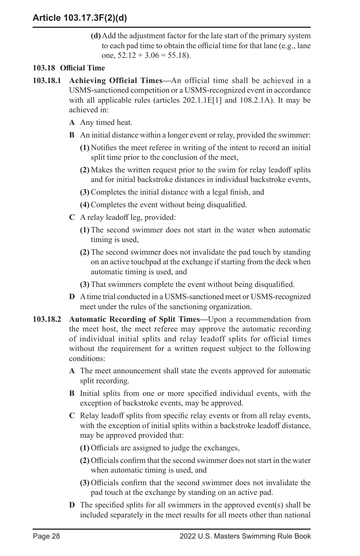**(d)**Add the adjustment factor for the late start of the primary system to each pad time to obtain the official time for that lane (e.g., lane one,  $52.12 + 3.06 = 55.18$ .

# **103.18 Official Time**

- **103.18.1 Achieving Official Times—**An official time shall be achieved in a USMS-sanctioned competition or a USMS-recognized event in accordance with all applicable rules (articles 202.1.1E[1] and 108.2.1A). It may be achieved in:
	- **A** Any timed heat.
	- **B** An initial distance within a longer event or relay, provided the swimmer:
		- **(1)** Notifies the meet referee in writing of the intent to record an initial split time prior to the conclusion of the meet,
		- **(2)** Makes the written request prior to the swim for relay leadoff splits and for initial backstroke distances in individual backstroke events,
		- **(3)** Completes the initial distance with a legal finish, and
		- **(4)** Completes the event without being disqualified.
	- **C** A relay leadoff leg, provided:
		- **(1)** The second swimmer does not start in the water when automatic timing is used,
		- **(2)** The second swimmer does not invalidate the pad touch by standing on an active touchpad at the exchange if starting from the deck when automatic timing is used, and
		- **(3)** That swimmers complete the event without being disqualified.
	- **D** A time trial conducted in a USMS-sanctioned meet or USMS-recognized meet under the rules of the sanctioning organization.
- **103.18.2 Automatic Recording of Split Times—**Upon a recommendation from the meet host, the meet referee may approve the automatic recording of individual initial splits and relay leadoff splits for official times without the requirement for a written request subject to the following conditions:
	- **A** The meet announcement shall state the events approved for automatic split recording.
	- **B** Initial splits from one or more specified individual events, with the exception of backstroke events, may be approved.
	- **C** Relay leadoff splits from specific relay events or from all relay events, with the exception of initial splits within a backstroke leadoff distance, may be approved provided that:
		- **(1)** Officials are assigned to judge the exchanges,
		- **(2)** Officials confirm that the second swimmer does not start in the water when automatic timing is used, and
		- **(3)** Officials confirm that the second swimmer does not invalidate the pad touch at the exchange by standing on an active pad.
	- **D** The specified splits for all swimmers in the approved event(s) shall be included separately in the meet results for all meets other than national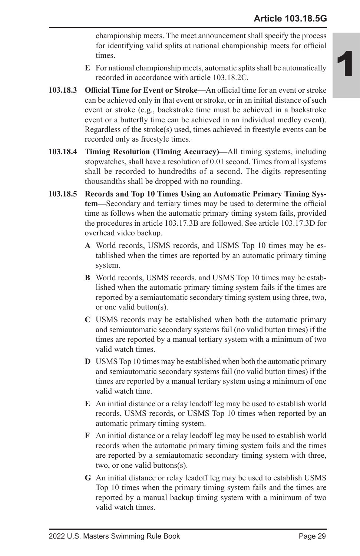championship meets. The meet announcement shall specify the process for identifying valid splits at national championship meets for official times.

- **E** For national championship meets, automatic splits shall be automatically recorded in accordance with article 103.18.2C.
- **103.18.3 Official Time for Event or Stroke—**An official time for an event or stroke can be achieved only in that event or stroke, or in an initial distance of such event or stroke (e.g., backstroke time must be achieved in a backstroke event or a butterfly time can be achieved in an individual medley event). Regardless of the stroke(s) used, times achieved in freestyle events can be recorded only as freestyle times.
- **103.18.4 Timing Resolution (Timing Accuracy)—**All timing systems, including stopwatches, shall have a resolution of 0.01 second. Times from all systems shall be recorded to hundredths of a second. The digits representing thousandths shall be dropped with no rounding.
- **103.18.5 Records and Top 10 Times Using an Automatic Primary Timing System—**Secondary and tertiary times may be used to determine the official time as follows when the automatic primary timing system fails, provided the procedures in article 103.17.3B are followed. See article 103.17.3D for overhead video backup.
	- **A** World records, USMS records, and USMS Top 10 times may be established when the times are reported by an automatic primary timing system.
	- **B** World records, USMS records, and USMS Top 10 times may be established when the automatic primary timing system fails if the times are reported by a semiautomatic secondary timing system using three, two, or one valid button(s).
	- **C** USMS records may be established when both the automatic primary and semiautomatic secondary systems fail (no valid button times) if the times are reported by a manual tertiary system with a minimum of two valid watch times.
	- **D** USMS Top 10 times may be established when both the automatic primary and semiautomatic secondary systems fail (no valid button times) if the times are reported by a manual tertiary system using a minimum of one valid watch time.
	- **E** An initial distance or a relay leadoff leg may be used to establish world records, USMS records, or USMS Top 10 times when reported by an automatic primary timing system.
	- **F** An initial distance or a relay leadoff leg may be used to establish world records when the automatic primary timing system fails and the times are reported by a semiautomatic secondary timing system with three, two, or one valid buttons(s).
	- **G** An initial distance or relay leadoff leg may be used to establish USMS Top 10 times when the primary timing system fails and the times are reported by a manual backup timing system with a minimum of two valid watch times.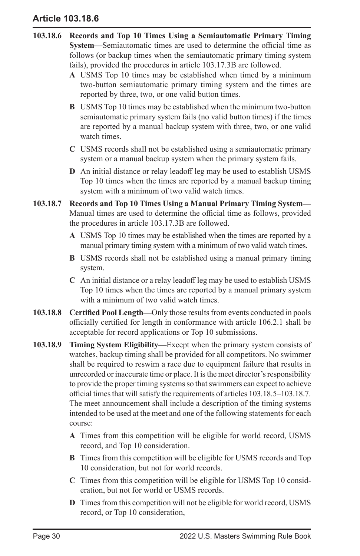# **Article 103.18.6**

- **103.18.6 Records and Top 10 Times Using a Semiautomatic Primary Timing System—**Semiautomatic times are used to determine the official time as follows (or backup times when the semiautomatic primary timing system fails), provided the procedures in article 103.17.3B are followed.
	- **A** USMS Top 10 times may be established when timed by a minimum two-button semiautomatic primary timing system and the times are reported by three, two, or one valid button times.
	- **B** USMS Top 10 times may be established when the minimum two-button semiautomatic primary system fails (no valid button times) if the times are reported by a manual backup system with three, two, or one valid watch times.
	- **C** USMS records shall not be established using a semiautomatic primary system or a manual backup system when the primary system fails.
	- **D** An initial distance or relay leadoff leg may be used to establish USMS Top 10 times when the times are reported by a manual backup timing system with a minimum of two valid watch times.
- **103.18.7 Records and Top 10 Times Using a Manual Primary Timing System—** Manual times are used to determine the official time as follows, provided the procedures in article 103.17.3B are followed.
	- **A** USMS Top 10 times may be established when the times are reported by a manual primary timing system with a minimum of two valid watch times.
	- **B** USMS records shall not be established using a manual primary timing system.
	- **C** An initial distance or a relay leadoff leg may be used to establish USMS Top 10 times when the times are reported by a manual primary system with a minimum of two valid watch times.
- **103.18.8 Certified Pool Length—**Only those results from events conducted in pools officially certified for length in conformance with article 106.2.1 shall be acceptable for record applications or Top 10 submissions.
- **103.18.9 Timing System Eligibility—**Except when the primary system consists of watches, backup timing shall be provided for all competitors. No swimmer shall be required to reswim a race due to equipment failure that results in unrecorded or inaccurate time or place. It is the meet director's responsibility to provide the proper timing systems so that swimmers can expect to achieve official times that will satisfy the requirements of articles 103.18.5–103.18.7. The meet announcement shall include a description of the timing systems intended to be used at the meet and one of the following statements for each course:
	- **A** Times from this competition will be eligible for world record, USMS record, and Top 10 consideration.
	- **B** Times from this competition will be eligible for USMS records and Top 10 consideration, but not for world records.
	- **C** Times from this competition will be eligible for USMS Top 10 consideration, but not for world or USMS records.
	- **D** Times from this competition will not be eligible for world record, USMS record, or Top 10 consideration,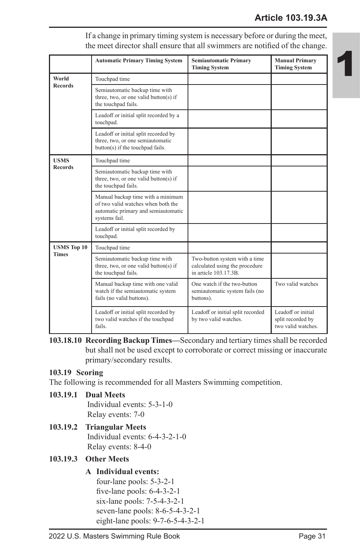|                    | <b>Automatic Primary Timing System</b>                                                                                          | <b>Semiautomatic Primary</b><br><b>Timing System</b>                                   | <b>Manual Primary</b><br><b>Timing System</b>                 |
|--------------------|---------------------------------------------------------------------------------------------------------------------------------|----------------------------------------------------------------------------------------|---------------------------------------------------------------|
| World              | Touchpad time                                                                                                                   |                                                                                        |                                                               |
| <b>Records</b>     | Semiautomatic backup time with<br>three, two, or one valid button(s) if<br>the touchpad fails.                                  |                                                                                        |                                                               |
|                    | Leadoff or initial split recorded by a<br>touchpad.                                                                             |                                                                                        |                                                               |
|                    | Leadoff or initial split recorded by<br>three, two, or one semiautomatic<br>button(s) if the touchpad fails.                    |                                                                                        |                                                               |
| <b>USMS</b>        | Touchpad time                                                                                                                   |                                                                                        |                                                               |
| <b>Records</b>     | Semiautomatic backup time with<br>three, two, or one valid button(s) if<br>the touchpad fails.                                  |                                                                                        |                                                               |
|                    | Manual backup time with a minimum<br>of two valid watches when both the<br>automatic primary and semiautomatic<br>systems fail. |                                                                                        |                                                               |
|                    | Leadoff or initial split recorded by<br>touchpad.                                                                               |                                                                                        |                                                               |
| <b>USMS</b> Top 10 | Touchpad time                                                                                                                   |                                                                                        |                                                               |
| <b>Times</b>       | Semiautomatic backup time with<br>three, two, or one valid button(s) if<br>the touchpad fails.                                  | Two-button system with a time<br>calculated using the procedure<br>in article 103 173B |                                                               |
|                    | Manual backup time with one valid<br>watch if the semiautomatic system<br>fails (no valid buttons).                             | One watch if the two-button<br>semiautomatic system fails (no<br>buttons).             | Two valid watches                                             |
|                    | Leadoff or initial split recorded by<br>two valid watches if the touchpad<br>fails.                                             | Leadoff or initial split recorded<br>by two valid watches.                             | Leadoff or initial<br>split recorded by<br>two valid watches. |

If a change in primary timing system is necessary before or during the meet, the meet director shall ensure that all swimmers are notified of the change.

### **103.19 Scoring**

The following is recommended for all Masters Swimming competition.

# **103.19.1 Dual Meets**

Individual events: 5-3-1-0 Relay events: 7-0

# **103.19.2 Triangular Meets**

Individual events: 6-4-3-2-1-0 Relay events: 8-4-0

### **103.19.3 Other Meets**

# **A Individual events:**

four-lane pools: 5-3-2-1 five-lane pools: 6-4-3-2-1 six-lane pools: 7-5-4-3-2-1 seven-lane pools: 8-6-5-4-3-2-1 eight-lane pools: 9-7-6-5-4-3-2-1

**<sup>103.18.10</sup> Recording Backup Times—**Secondary and tertiary times shall be recorded but shall not be used except to corroborate or correct missing or inaccurate primary/secondary results.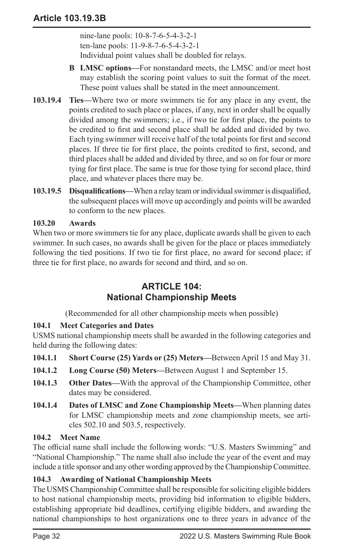nine-lane pools: 10-8-7-6-5-4-3-2-1 ten-lane pools: 11-9-8-7-6-5-4-3-2-1 Individual point values shall be doubled for relays.

- **B LMSC options—**For nonstandard meets, the LMSC and/or meet host may establish the scoring point values to suit the format of the meet. These point values shall be stated in the meet announcement.
- **103.19.4 Ties—**Where two or more swimmers tie for any place in any event, the points credited to such place or places, if any, next in order shall be equally divided among the swimmers; i.e., if two tie for first place, the points to be credited to first and second place shall be added and divided by two. Each tying swimmer will receive half of the total points for first and second places. If three tie for first place, the points credited to first, second, and third places shall be added and divided by three, and so on for four or more tying for first place. The same is true for those tying for second place, third place, and whatever places there may be.
- **103.19.5 Disqualifications—**When a relay team or individual swimmer is disqualified, the subsequent places will move up accordingly and points will be awarded to conform to the new places.

### **103.20 Awards**

When two or more swimmers tie for any place, duplicate awards shall be given to each swimmer. In such cases, no awards shall be given for the place or places immediately following the tied positions. If two tie for first place, no award for second place; if three tie for first place, no awards for second and third, and so on.

# **ARTICLE 104: National Championship Meets**

(Recommended for all other championship meets when possible)

# **104.1 Meet Categories and Dates**

USMS national championship meets shall be awarded in the following categories and held during the following dates:

- **104.1.1 Short Course (25) Yards or (25) Meters—**Between April 15 and May 31.
- **104.1.2 Long Course (50) Meters—**Between August 1 and September 15.
- **104.1.3 Other Dates—**With the approval of the Championship Committee, other dates may be considered.
- **104.1.4 Dates of LMSC and Zone Championship Meets—**When planning dates for LMSC championship meets and zone championship meets, see articles 502.10 and 503.5, respectively.

### **104.2 Meet Name**

The official name shall include the following words: "U.S. Masters Swimming" and "National Championship." The name shall also include the year of the event and may include a title sponsor and any other wording approved by the Championship Committee.

### **104.3 Awarding of National Championship Meets**

The USMS Championship Committee shall be responsible for soliciting eligible bidders to host national championship meets, providing bid information to eligible bidders, establishing appropriate bid deadlines, certifying eligible bidders, and awarding the national championships to host organizations one to three years in advance of the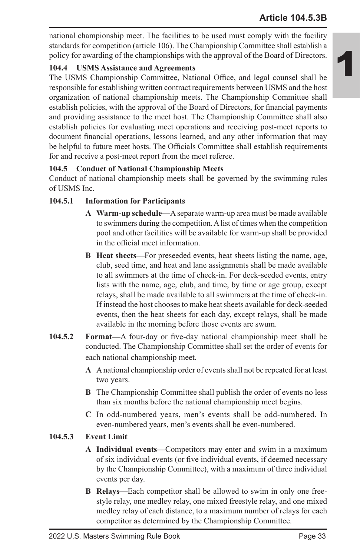national championship meet. The facilities to be used must comply with the facility standards for competition (article 106). The Championship Committee shall establish a policy for awarding of the championships with the approval of the Board of Directors.

# **104.4 USMS Assistance and Agreements**

The USMS Championship Committee, National Office, and legal counsel shall be responsible for establishing written contract requirements between USMS and the host organization of national championship meets. The Championship Committee shall establish policies, with the approval of the Board of Directors, for financial payments and providing assistance to the meet host. The Championship Committee shall also establish policies for evaluating meet operations and receiving post-meet reports to document financial operations, lessons learned, and any other information that may be helpful to future meet hosts. The Officials Committee shall establish requirements for and receive a post-meet report from the meet referee.

# **104.5 Conduct of National Championship Meets**

Conduct of national championship meets shall be governed by the swimming rules of USMS Inc.

# **104.5.1 Information for Participants**

- **A Warm-up schedule—**A separate warm-up area must be made available to swimmers during the competition. A list of times when the competition pool and other facilities will be available for warm-up shall be provided in the official meet information.
- **B Heat sheets—**For preseeded events, heat sheets listing the name, age, club, seed time, and heat and lane assignments shall be made available to all swimmers at the time of check-in. For deck-seeded events, entry lists with the name, age, club, and time, by time or age group, except relays, shall be made available to all swimmers at the time of check-in. If instead the host chooses to make heat sheets available for deck-seeded events, then the heat sheets for each day, except relays, shall be made available in the morning before those events are swum.
- **104.5.2 Format—**A four-day or five-day national championship meet shall be conducted. The Championship Committee shall set the order of events for each national championship meet.
	- **A** A national championship order of events shall not be repeated for at least two years.
	- **B** The Championship Committee shall publish the order of events no less than six months before the national championship meet begins.
	- **C** In odd-numbered years, men's events shall be odd-numbered. In even-numbered years, men's events shall be even-numbered.

# **104.5.3 Event Limit**

- **A Individual events—**Competitors may enter and swim in a maximum of six individual events (or five individual events, if deemed necessary by the Championship Committee), with a maximum of three individual events per day.
- **B Relays—**Each competitor shall be allowed to swim in only one freestyle relay, one medley relay, one mixed freestyle relay, and one mixed medley relay of each distance, to a maximum number of relays for each competitor as determined by the Championship Committee.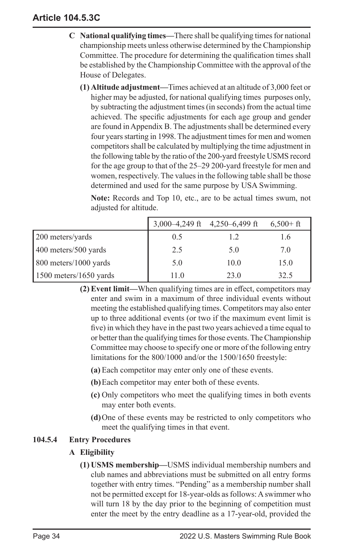# **Article 104.5.3C**

- **C National qualifying times—**There shall be qualifying times for national championship meets unless otherwise determined by the Championship Committee. The procedure for determining the qualification times shall be established by the Championship Committee with the approval of the House of Delegates.
	- **(1) Altitude adjustment—**Times achieved at an altitude of 3,000 feet or higher may be adjusted, for national qualifying times purposes only, by subtracting the adjustment times (in seconds) from the actual time achieved. The specific adjustments for each age group and gender are found in Appendix B. The adjustments shall be determined every four years starting in 1998. The adjustment times for men and women competitors shall be calculated by multiplying the time adjustment in the following table by the ratio of the 200-yard freestyle USMS record for the age group to that of the 25–29 200-yard freestyle for men and women, respectively. The values in the following table shall be those determined and used for the same purpose by USA Swimming.

**Note:** Records and Top 10, etc., are to be actual times swum, not adjusted for altitude.

|                        | 3,000-4,249 ft 4,250-6,499 ft |      | $6,500+ft$ |
|------------------------|-------------------------------|------|------------|
| 200 meters/yards       | 0.5                           | 1.2  | 1.6        |
| 400 meters/500 yards   | 2.5                           | 5.0  | 7.0        |
| 800 meters/1000 yards  | 5.0                           | 10.0 | 15.0       |
| 1500 meters/1650 yards | 11.0                          | 23.0 | 32.5       |

- **(2) Event limit—**When qualifying times are in effect, competitors may enter and swim in a maximum of three individual events without meeting the established qualifying times. Competitors may also enter up to three additional events (or two if the maximum event limit is five) in which they have in the past two years achieved a time equal to or better than the qualifying times for those events. The Championship Committee may choose to specify one or more of the following entry limitations for the 800/1000 and/or the 1500/1650 freestyle:
	- **(a)** Each competitor may enter only one of these events.
	- **(b)**Each competitor may enter both of these events.
	- **(c)** Only competitors who meet the qualifying times in both events may enter both events.
	- **(d)**One of these events may be restricted to only competitors who meet the qualifying times in that event.

### **104.5.4 Entry Procedures**

### **A Eligibility**

**(1) USMS membership—**USMS individual membership numbers and club names and abbreviations must be submitted on all entry forms together with entry times. "Pending" as a membership number shall not be permitted except for 18-year-olds as follows: A swimmer who will turn 18 by the day prior to the beginning of competition must enter the meet by the entry deadline as a 17-year-old, provided the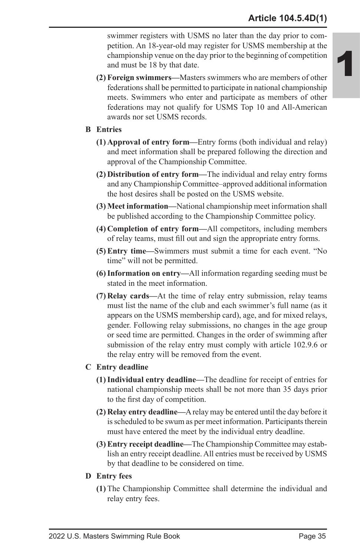swimmer registers with USMS no later than the day prior to competition. An 18-year-old may register for USMS membership at the championship venue on the day prior to the beginning of competition and must be 18 by that date.

**(2) Foreign swimmers—**Masters swimmers who are members of other federations shall be permitted to participate in national championship meets. Swimmers who enter and participate as members of other federations may not qualify for USMS Top 10 and All-American awards nor set USMS records.

#### **B Entries**

- **(1) Approval of entry form—**Entry forms (both individual and relay) and meet information shall be prepared following the direction and approval of the Championship Committee.
- **(2) Distribution of entry form—**The individual and relay entry forms and any Championship Committee–approved additional information the host desires shall be posted on the USMS website.
- **(3) Meet information—**National championship meet information shall be published according to the Championship Committee policy.
- **(4) Completion of entry form—**All competitors, including members of relay teams, must fill out and sign the appropriate entry forms.
- **(5) Entry time—**Swimmers must submit a time for each event. "No time" will not be permitted.
- **(6)Information on entry—**All information regarding seeding must be stated in the meet information.
- **(7) Relay cards—**At the time of relay entry submission, relay teams must list the name of the club and each swimmer's full name (as it appears on the USMS membership card), age, and for mixed relays, gender. Following relay submissions, no changes in the age group or seed time are permitted. Changes in the order of swimming after submission of the relay entry must comply with article 102.9.6 or the relay entry will be removed from the event.

### **C Entry deadline**

- **(1)Individual entry deadline—**The deadline for receipt of entries for national championship meets shall be not more than 35 days prior to the first day of competition.
- **(2) Relay entry deadline—**A relay may be entered until the day before it is scheduled to be swum as per meet information. Participants therein must have entered the meet by the individual entry deadline.
- **(3) Entry receipt deadline—**The Championship Committee may establish an entry receipt deadline. All entries must be received by USMS by that deadline to be considered on time.
- **D Entry fees**
	- **(1)** The Championship Committee shall determine the individual and relay entry fees.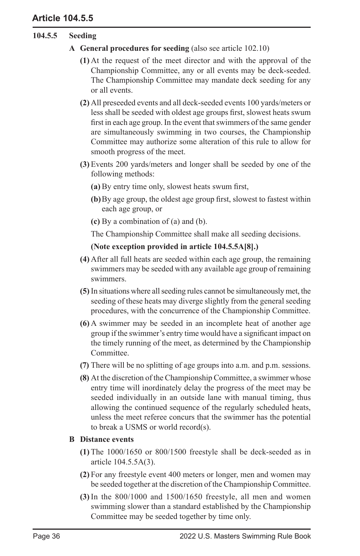# **Article 104.5.5**

# **104.5.5 Seeding**

- **A General procedures for seeding** (also see article 102.10)
	- **(1)** At the request of the meet director and with the approval of the Championship Committee, any or all events may be deck-seeded. The Championship Committee may mandate deck seeding for any or all events.
	- **(2)** All preseeded events and all deck-seeded events 100 yards/meters or less shall be seeded with oldest age groups first, slowest heats swum first in each age group. In the event that swimmers of the same gender are simultaneously swimming in two courses, the Championship Committee may authorize some alteration of this rule to allow for smooth progress of the meet.
	- **(3)** Events 200 yards/meters and longer shall be seeded by one of the following methods:
		- **(a)** By entry time only, slowest heats swum first,
		- **(b)**By age group, the oldest age group first, slowest to fastest within each age group, or
		- **(c)** By a combination of (a) and (b).

The Championship Committee shall make all seeding decisions.

#### **(Note exception provided in article 104.5.5A[8].)**

- **(4)** After all full heats are seeded within each age group, the remaining swimmers may be seeded with any available age group of remaining swimmers.
- **(5)** In situations where all seeding rules cannot be simultaneously met, the seeding of these heats may diverge slightly from the general seeding procedures, with the concurrence of the Championship Committee.
- **(6)** A swimmer may be seeded in an incomplete heat of another age group if the swimmer's entry time would have a significant impact on the timely running of the meet, as determined by the Championship Committee.
- **(7)** There will be no splitting of age groups into a.m. and p.m. sessions.
- **(8)** At the discretion of the Championship Committee, a swimmer whose entry time will inordinately delay the progress of the meet may be seeded individually in an outside lane with manual timing, thus allowing the continued sequence of the regularly scheduled heats, unless the meet referee concurs that the swimmer has the potential to break a USMS or world record(s).

#### **B Distance events**

- **(1)** The 1000/1650 or 800/1500 freestyle shall be deck-seeded as in article 104.5.5A(3).
- **(2)** For any freestyle event 400 meters or longer, men and women may be seeded together at the discretion of the Championship Committee.
- **(3)** In the 800/1000 and 1500/1650 freestyle, all men and women swimming slower than a standard established by the Championship Committee may be seeded together by time only.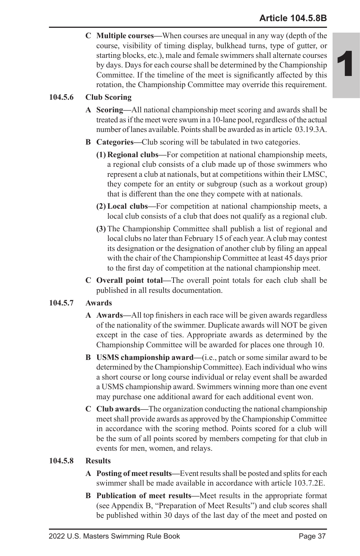# **Article 104.5.8B**

1

**C Multiple courses—**When courses are unequal in any way (depth of the course, visibility of timing display, bulkhead turns, type of gutter, or starting blocks, etc.), male and female swimmers shall alternate courses by days. Days for each course shall be determined by the Championship Committee. If the timeline of the meet is significantly affected by this rotation, the Championship Committee may override this requirement.

### **104.5.6 Club Scoring**

- **A Scoring—**All national championship meet scoring and awards shall be treated as if the meet were swum in a 10-lane pool, regardless of the actual number of lanes available. Points shall be awarded as in article 03.19.3A.
- **B Categories—**Club scoring will be tabulated in two categories.
	- **(1) Regional clubs—**For competition at national championship meets, a regional club consists of a club made up of those swimmers who represent a club at nationals, but at competitions within their LMSC, they compete for an entity or subgroup (such as a workout group) that is different than the one they compete with at nationals.
	- **(2) Local clubs—**For competition at national championship meets, a local club consists of a club that does not qualify as a regional club.
	- **(3)** The Championship Committee shall publish a list of regional and local clubs no later than February 15 of each year. A club may contest its designation or the designation of another club by filing an appeal with the chair of the Championship Committee at least 45 days prior to the first day of competition at the national championship meet.
- **C Overall point total—**The overall point totals for each club shall be published in all results documentation.

### **104.5.7 Awards**

- **A Awards—**All top finishers in each race will be given awards regardless of the nationality of the swimmer. Duplicate awards will NOT be given except in the case of ties. Appropriate awards as determined by the Championship Committee will be awarded for places one through 10.
- **B USMS championship award—**(i.e., patch or some similar award to be determined by the Championship Committee). Each individual who wins a short course or long course individual or relay event shall be awarded a USMS championship award. Swimmers winning more than one event may purchase one additional award for each additional event won.
- **C Club awards—**The organization conducting the national championship meet shall provide awards as approved by the Championship Committee in accordance with the scoring method. Points scored for a club will be the sum of all points scored by members competing for that club in events for men, women, and relays.

### **104.5.8 Results**

- **A Posting of meet results—**Event results shall be posted and splits for each swimmer shall be made available in accordance with article 103.7.2E.
- **B Publication of meet results—**Meet results in the appropriate format (see Appendix B, "Preparation of Meet Results") and club scores shall be published within 30 days of the last day of the meet and posted on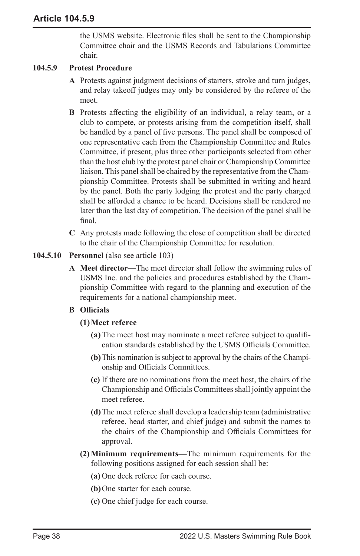the USMS website. Electronic files shall be sent to the Championship Committee chair and the USMS Records and Tabulations Committee chair.

### **104.5.9 Protest Procedure**

- **A** Protests against judgment decisions of starters, stroke and turn judges, and relay takeoff judges may only be considered by the referee of the meet.
- **B** Protests affecting the eligibility of an individual, a relay team, or a club to compete, or protests arising from the competition itself, shall be handled by a panel of five persons. The panel shall be composed of one representative each from the Championship Committee and Rules Committee, if present, plus three other participants selected from other than the host club by the protest panel chair or Championship Committee liaison. This panel shall be chaired by the representative from the Championship Committee. Protests shall be submitted in writing and heard by the panel. Both the party lodging the protest and the party charged shall be afforded a chance to be heard. Decisions shall be rendered no later than the last day of competition. The decision of the panel shall be final.
- **C** Any protests made following the close of competition shall be directed to the chair of the Championship Committee for resolution.
- **104.5.10 Personnel** (also see article 103)
	- **A Meet director—**The meet director shall follow the swimming rules of USMS Inc. and the policies and procedures established by the Championship Committee with regard to the planning and execution of the requirements for a national championship meet.

# **B Officials**

- **(1)Meet referee**
	- **(a)**The meet host may nominate a meet referee subject to qualification standards established by the USMS Officials Committee.
	- **(b)**This nomination is subject to approval by the chairs of the Championship and Officials Committees.
	- **(c)** If there are no nominations from the meet host, the chairs of the Championship and Officials Committees shall jointly appoint the meet referee.
	- **(d)**The meet referee shall develop a leadership team (administrative referee, head starter, and chief judge) and submit the names to the chairs of the Championship and Officials Committees for approval.
- **(2) Minimum requirements—**The minimum requirements for the following positions assigned for each session shall be:
	- **(a)** One deck referee for each course.
	- **(b)**One starter for each course.
	- **(c)** One chief judge for each course.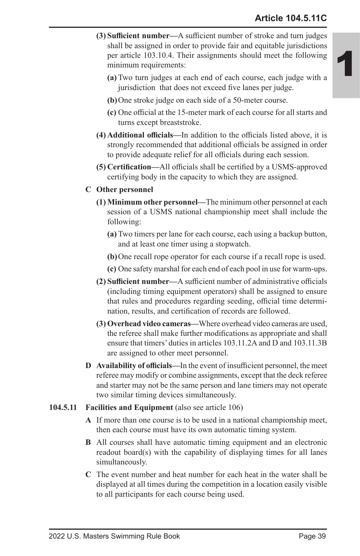- **(3) Sufficient number—**A sufficient number of stroke and turn judges shall be assigned in order to provide fair and equitable jurisdictions per article 103.10.4. Their assignments should meet the following minimum requirements:
	- **(a)** Two turn judges at each end of each course, each judge with a jurisdiction that does not exceed five lanes per judge.
	- **(b)**One stroke judge on each side of a 50-meter course.
	- **(c)** One official at the 15-meter mark of each course for all starts and turns except breaststroke.
- **(4) Additional officials—**In addition to the officials listed above, it is strongly recommended that additional officials be assigned in order to provide adequate relief for all officials during each session.
- **(5) Certification—**All officials shall be certified by a USMS-approved certifying body in the capacity to which they are assigned.
- **C Other personnel**
	- **(1) Minimum other personnel—**The minimum other personnel at each session of a USMS national championship meet shall include the following:
		- **(a)** Two timers per lane for each course, each using a backup button, and at least one timer using a stopwatch.
		- **(b)**One recall rope operator for each course if a recall rope is used.
		- **(c)** One safety marshal for each end of each pool in use for warm-ups.
	- **(2) Sufficient number—**A sufficient number of administrative officials (including timing equipment operators) shall be assigned to ensure that rules and procedures regarding seeding, official time determination, results, and certification of records are followed.
	- **(3) Overhead video cameras—**Where overhead video cameras are used, the referee shall make further modifications as appropriate and shall ensure that timers' duties in articles 103.11.2A and D and 103.11.3B are assigned to other meet personnel.
- **D Availability of officials—**In the event of insufficient personnel, the meet referee may modify or combine assignments, except that the deck referee and starter may not be the same person and lane timers may not operate two similar timing devices simultaneously.
- **104.5.11 Facilities and Equipment** (also see article 106)
	- **A** If more than one course is to be used in a national championship meet, then each course must have its own automatic timing system.
	- **B** All courses shall have automatic timing equipment and an electronic readout board(s) with the capability of displaying times for all lanes simultaneously.
	- **C** The event number and heat number for each heat in the water shall be displayed at all times during the competition in a location easily visible to all participants for each course being used.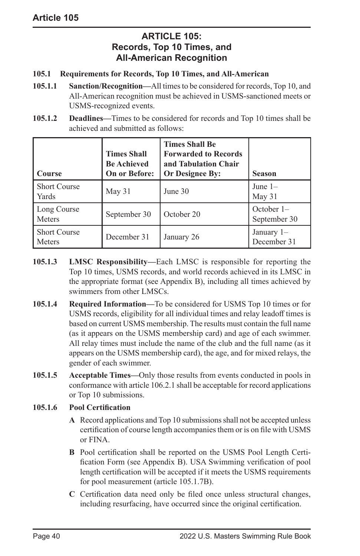# **ARTICLE 105: Records, Top 10 Times, and All-American Recognition**

### **105.1 Requirements for Records, Top 10 Times, and All-American**

- **105.1.1 Sanction/Recognition—**All times to be considered for records, Top 10, and All-American recognition must be achieved in USMS-sanctioned meets or USMS-recognized events.
- **105.1.2 Deadlines—**Times to be considered for records and Top 10 times shall be achieved and submitted as follows:

| <b>Course</b>                        | <b>Times Shall</b><br><b>Be Achieved</b><br><b>On or Before:</b> | <b>Times Shall Be</b><br><b>Forwarded to Records</b><br>and Tabulation Chair<br><b>Or Designee By:</b> | <b>Season</b>                |
|--------------------------------------|------------------------------------------------------------------|--------------------------------------------------------------------------------------------------------|------------------------------|
| <b>Short Course</b><br>Yards         | May 31                                                           | June 30                                                                                                | June $1-$<br>May 31          |
| Long Course<br>Meters                | September 30                                                     | October 20                                                                                             | October $1-$<br>September 30 |
| <b>Short Course</b><br><b>Meters</b> | December 31                                                      | January 26                                                                                             | January 1-<br>December 31    |

- **105.1.3 LMSC Responsibility—**Each LMSC is responsible for reporting the Top 10 times, USMS records, and world records achieved in its LMSC in the appropriate format (see Appendix B), including all times achieved by swimmers from other LMSCs.
- **105.1.4 Required Information—**To be considered for USMS Top 10 times or for USMS records, eligibility for all individual times and relay leadoff times is based on current USMS membership. The results must contain the full name (as it appears on the USMS membership card) and age of each swimmer. All relay times must include the name of the club and the full name (as it appears on the USMS membership card), the age, and for mixed relays, the gender of each swimmer.
- **105.1.5 Acceptable Times—**Only those results from events conducted in pools in conformance with article 106.2.1 shall be acceptable for record applications or Top 10 submissions.

### **105.1.6 Pool Certification**

- **A** Record applications and Top 10 submissions shall not be accepted unless certification of course length accompanies them or is on file with USMS or FINA.
- **B** Pool certification shall be reported on the USMS Pool Length Certification Form (see Appendix B). USA Swimming verification of pool length certification will be accepted if it meets the USMS requirements for pool measurement (article 105.1.7B).
- **C** Certification data need only be filed once unless structural changes, including resurfacing, have occurred since the original certification.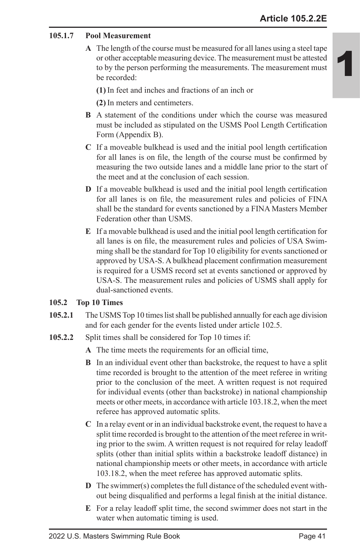### **105.1.7 Pool Measurement**

**A** The length of the course must be measured for all lanes using a steel tape or other acceptable measuring device. The measurement must be attested to by the person performing the measurements. The measurement must be recorded:

**(1)** In feet and inches and fractions of an inch or

**(2)** In meters and centimeters.

- **B** A statement of the conditions under which the course was measured must be included as stipulated on the USMS Pool Length Certification Form (Appendix B).
- **C** If a moveable bulkhead is used and the initial pool length certification for all lanes is on file, the length of the course must be confirmed by measuring the two outside lanes and a middle lane prior to the start of the meet and at the conclusion of each session.
- **D** If a moveable bulkhead is used and the initial pool length certification for all lanes is on file, the measurement rules and policies of FINA shall be the standard for events sanctioned by a FINA Masters Member Federation other than USMS.
- **E** If a movable bulkhead is used and the initial pool length certification for all lanes is on file, the measurement rules and policies of USA Swimming shall be the standard for Top 10 eligibility for events sanctioned or approved by USA-S. A bulkhead placement confirmation measurement is required for a USMS record set at events sanctioned or approved by USA-S. The measurement rules and policies of USMS shall apply for dual-sanctioned events.

#### **105.2 Top 10 Times**

- **105.2.1** The USMS Top 10 times list shall be published annually for each age division and for each gender for the events listed under article 102.5.
- **105.2.2** Split times shall be considered for Top 10 times if:
	- **A** The time meets the requirements for an official time,
	- **B** In an individual event other than backstroke, the request to have a split time recorded is brought to the attention of the meet referee in writing prior to the conclusion of the meet. A written request is not required for individual events (other than backstroke) in national championship meets or other meets, in accordance with article 103.18.2, when the meet referee has approved automatic splits.
	- **C** In a relay event or in an individual backstroke event, the request to have a split time recorded is brought to the attention of the meet referee in writing prior to the swim. A written request is not required for relay leadoff splits (other than initial splits within a backstroke leadoff distance) in national championship meets or other meets, in accordance with article 103.18.2, when the meet referee has approved automatic splits.
	- **D** The swimmer(s) completes the full distance of the scheduled event without being disqualified and performs a legal finish at the initial distance.
	- **E** For a relay leadoff split time, the second swimmer does not start in the water when automatic timing is used.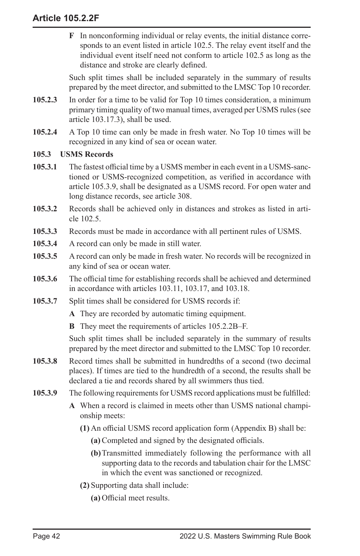**F** In nonconforming individual or relay events, the initial distance corresponds to an event listed in article 102.5. The relay event itself and the individual event itself need not conform to article 102.5 as long as the distance and stroke are clearly defined.

Such split times shall be included separately in the summary of results prepared by the meet director, and submitted to the LMSC Top 10 recorder.

- **105.2.3** In order for a time to be valid for Top 10 times consideration, a minimum primary timing quality of two manual times, averaged per USMS rules (see article 103.17.3), shall be used.
- **105.2.4** A Top 10 time can only be made in fresh water. No Top 10 times will be recognized in any kind of sea or ocean water.

### **105.3 USMS Records**

- **105.3.1** The fastest official time by a USMS member in each event in a USMS-sanctioned or USMS-recognized competition, as verified in accordance with article 105.3.9, shall be designated as a USMS record. For open water and long distance records, see article 308.
- **105.3.2** Records shall be achieved only in distances and strokes as listed in article 102.5.
- **105.3.3** Records must be made in accordance with all pertinent rules of USMS.
- **105.3.4** A record can only be made in still water.
- **105.3.5** A record can only be made in fresh water. No records will be recognized in any kind of sea or ocean water.
- **105.3.6** The official time for establishing records shall be achieved and determined in accordance with articles 103.11, 103.17, and 103.18.
- **105.3.7** Split times shall be considered for USMS records if:
	- **A** They are recorded by automatic timing equipment.
	- **B** They meet the requirements of articles 105.2.2B–F.

Such split times shall be included separately in the summary of results prepared by the meet director and submitted to the LMSC Top 10 recorder.

- **105.3.8** Record times shall be submitted in hundredths of a second (two decimal places). If times are tied to the hundredth of a second, the results shall be declared a tie and records shared by all swimmers thus tied.
- **105.3.9** The following requirements for USMS record applications must be fulfilled:
	- **A** When a record is claimed in meets other than USMS national championship meets:
		- **(1)** An official USMS record application form (Appendix B) shall be:
			- **(a)** Completed and signed by the designated officials.
			- **(b)**Transmitted immediately following the performance with all supporting data to the records and tabulation chair for the LMSC in which the event was sanctioned or recognized.
		- **(2)** Supporting data shall include:
			- **(a)** Official meet results.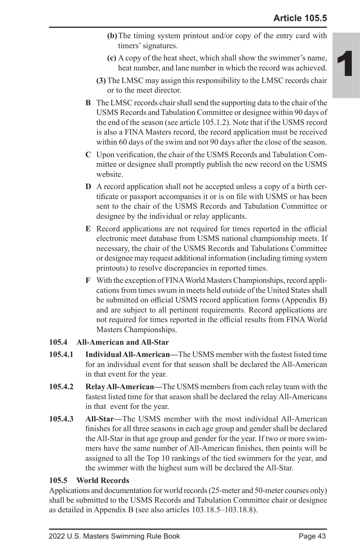- **(b)**The timing system printout and/or copy of the entry card with timers' signatures.
- **(c)** A copy of the heat sheet, which shall show the swimmer's name, heat number, and lane number in which the record was achieved.
- **(3)** The LMSC may assign this responsibility to the LMSC records chair or to the meet director.
- **B** The LMSC records chair shall send the supporting data to the chair of the USMS Records and Tabulation Committee or designee within 90 days of the end of the season (see article 105.1.2). Note that if the USMS record is also a FINA Masters record, the record application must be received within 60 days of the swim and not 90 days after the close of the season.
- **C** Upon verification, the chair of the USMS Records and Tabulation Committee or designee shall promptly publish the new record on the USMS website.
- **D** A record application shall not be accepted unless a copy of a birth certificate or passport accompanies it or is on file with USMS or has been sent to the chair of the USMS Records and Tabulation Committee or designee by the individual or relay applicants.
- **E** Record applications are not required for times reported in the official electronic meet database from USMS national championship meets. If necessary, the chair of the USMS Records and Tabulations Committee or designee may request additional information (including timing system printouts) to resolve discrepancies in reported times.
- **F** With the exception of FINA World Masters Championships, record applications from times swum in meets held outside of the United States shall be submitted on official USMS record application forms (Appendix B) and are subject to all pertinent requirements. Record applications are not required for times reported in the official results from FINA World Masters Championships.

### **105.4 All-American and All-Star**

- **105.4.1 Individual All-American—**The USMS member with the fastest listed time for an individual event for that season shall be declared the All-American in that event for the year.
- **105.4.2 Relay All-American—**The USMS members from each relay team with the fastest listed time for that season shall be declared the relay All-Americans in that event for the year.
- **105.4.3 All-Star—**The USMS member with the most individual All-American finishes for all three seasons in each age group and gender shall be declared the All-Star in that age group and gender for the year. If two or more swimmers have the same number of All-American finishes, then points will be assigned to all the Top 10 rankings of the tied swimmers for the year, and the swimmer with the highest sum will be declared the All-Star.

### **105.5 World Records**

Applications and documentation for world records (25-meter and 50-meter courses only) shall be submitted to the USMS Records and Tabulation Committee chair or designee as detailed in Appendix B (see also articles 103.18.5–103.18.8).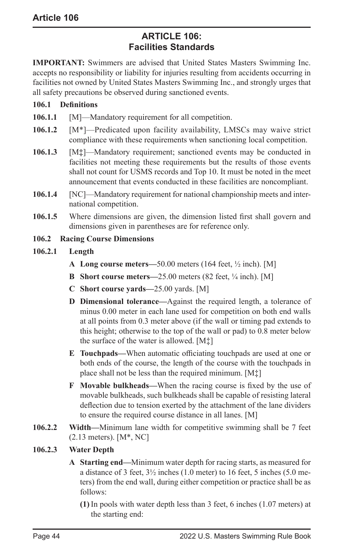# **ARTICLE 106: Facilities Standards**

**IMPORTANT:** Swimmers are advised that United States Masters Swimming Inc. accepts no responsibility or liability for injuries resulting from accidents occurring in facilities not owned by United States Masters Swimming Inc., and strongly urges that all safety precautions be observed during sanctioned events.

### **106.1 Definitions**

- **106.1.1** [M]—Mandatory requirement for all competition.
- **106.1.2** [M\*]—Predicated upon facility availability, LMSCs may waive strict compliance with these requirements when sanctioning local competition.
- **106.1.3** [M**‡**]—Mandatory requirement; sanctioned events may be conducted in facilities not meeting these requirements but the results of those events shall not count for USMS records and Top 10. It must be noted in the meet announcement that events conducted in these facilities are noncompliant.
- **106.1.4** [NC]—Mandatory requirement for national championship meets and international competition.
- **106.1.5** Where dimensions are given, the dimension listed first shall govern and dimensions given in parentheses are for reference only.
- **106.2 Racing Course Dimensions**

### **106.2.1 Length**

- **A Long course meters—**50.00 meters (164 feet, ½ inch). [M]
- **B Short course meters—**25.00 meters (82 feet, ¼ inch). [M]
- **C Short course yards—**25.00 yards. [M]
- **D Dimensional tolerance—**Against the required length, a tolerance of minus 0.00 meter in each lane used for competition on both end walls at all points from 0.3 meter above (if the wall or timing pad extends to this height; otherwise to the top of the wall or pad) to 0.8 meter below the surface of the water is allowed. [M‡]
- **E Touchpads—**When automatic officiating touchpads are used at one or both ends of the course, the length of the course with the touchpads in place shall not be less than the required minimum. [M‡]
- **F Movable bulkheads—**When the racing course is fixed by the use of movable bulkheads, such bulkheads shall be capable of resisting lateral deflection due to tension exerted by the attachment of the lane dividers to ensure the required course distance in all lanes. [M]
- **106.2.2 Width—**Minimum lane width for competitive swimming shall be 7 feet (2.13 meters). [M\*, NC]

### **106.2.3 Water Depth**

- **A Starting end—**Minimum water depth for racing starts, as measured for a distance of 3 feet, 3½ inches (1.0 meter) to 16 feet, 5 inches (5.0 meters) from the end wall, during either competition or practice shall be as follows:
	- **(1)** In pools with water depth less than 3 feet, 6 inches (1.07 meters) at the starting end: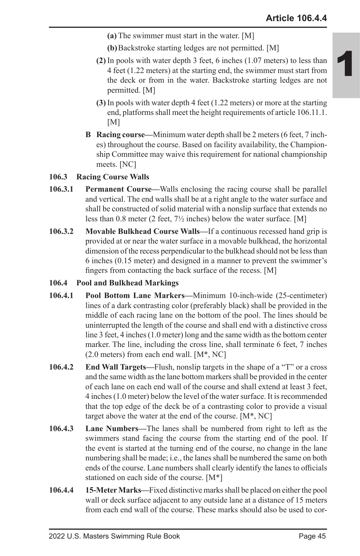- **(a)** The swimmer must start in the water. [M]
- **(b)**Backstroke starting ledges are not permitted. [M]
- **(2)** In pools with water depth 3 feet, 6 inches (1.07 meters) to less than 4 feet (1.22 meters) at the starting end, the swimmer must start from the deck or from in the water. Backstroke starting ledges are not permitted. [M]
- **(3)** In pools with water depth 4 feet (1.22 meters) or more at the starting end, platforms shall meet the height requirements of article 106.11.1.  $[M]$
- **B Racing course—**Minimum water depth shall be 2 meters (6 feet, 7 inches) throughout the course. Based on facility availability, the Championship Committee may waive this requirement for national championship meets. [NC]

### **106.3 Racing Course Walls**

- **106.3.1 Permanent Course—**Walls enclosing the racing course shall be parallel and vertical. The end walls shall be at a right angle to the water surface and shall be constructed of solid material with a nonslip surface that extends no less than 0.8 meter (2 feet, 7½ inches) below the water surface. [M]
- **106.3.2 Movable Bulkhead Course Walls—**If a continuous recessed hand grip is provided at or near the water surface in a movable bulkhead, the horizontal dimension of the recess perpendicular to the bulkhead should not be less than 6 inches (0.15 meter) and designed in a manner to prevent the swimmer's fingers from contacting the back surface of the recess. [M]

#### **106.4 Pool and Bulkhead Markings**

- **106.4.1 Pool Bottom Lane Markers—**Minimum 10-inch-wide (25-centimeter) lines of a dark contrasting color (preferably black) shall be provided in the middle of each racing lane on the bottom of the pool. The lines should be uninterrupted the length of the course and shall end with a distinctive cross line 3 feet, 4 inches (1.0 meter) long and the same width as the bottom center marker. The line, including the cross line, shall terminate 6 feet, 7 inches  $(2.0$  meters) from each end wall. [M<sup>\*</sup>, NC]
- **106.4.2 End Wall Targets—**Flush, nonslip targets in the shape of a "T" or a cross and the same width as the lane bottom markers shall be provided in the center of each lane on each end wall of the course and shall extend at least 3 feet, 4 inches (1.0 meter) below the level of the water surface. It is recommended that the top edge of the deck be of a contrasting color to provide a visual target above the water at the end of the course. [M\*, NC]
- **106.4.3 Lane Numbers—**The lanes shall be numbered from right to left as the swimmers stand facing the course from the starting end of the pool. If the event is started at the turning end of the course, no change in the lane numbering shall be made; i.e., the lanes shall be numbered the same on both ends of the course. Lane numbers shall clearly identify the lanes to officials stationed on each side of the course. [M\*]
- **106.4.4 15-Meter Marks—**Fixed distinctive marks shall be placed on either the pool wall or deck surface adjacent to any outside lane at a distance of 15 meters from each end wall of the course. These marks should also be used to cor-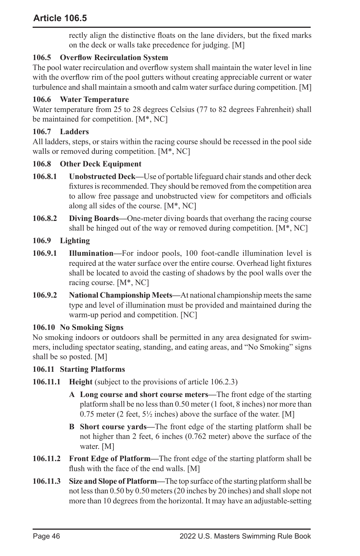rectly align the distinctive floats on the lane dividers, but the fixed marks on the deck or walls take precedence for judging. [M]

# **106.5 Overflow Recirculation System**

The pool water recirculation and overflow system shall maintain the water level in line with the overflow rim of the pool gutters without creating appreciable current or water turbulence and shall maintain a smooth and calm water surface during competition. [M]

# **106.6 Water Temperature**

Water temperature from 25 to 28 degrees Celsius (77 to 82 degrees Fahrenheit) shall be maintained for competition. [M\*, NC]

# **106.7 Ladders**

All ladders, steps, or stairs within the racing course should be recessed in the pool side walls or removed during competition. [M\*, NC]

### **106.8 Other Deck Equipment**

- **106.8.1 Unobstructed Deck—**Use of portable lifeguard chair stands and other deck fixtures is recommended. They should be removed from the competition area to allow free passage and unobstructed view for competitors and officials along all sides of the course. [M\*, NC]
- **106.8.2 Diving Boards—**One-meter diving boards that overhang the racing course shall be hinged out of the way or removed during competition. [M\*, NC]
- **106.9 Lighting**
- **106.9.1 Illumination—**For indoor pools, 100 foot-candle illumination level is required at the water surface over the entire course. Overhead light fixtures shall be located to avoid the casting of shadows by the pool walls over the racing course. [M\*, NC]
- **106.9.2 National Championship Meets—**At national championship meets the same type and level of illumination must be provided and maintained during the warm-up period and competition. [NC]

### **106.10 No Smoking Signs**

No smoking indoors or outdoors shall be permitted in any area designated for swimmers, including spectator seating, standing, and eating areas, and "No Smoking" signs shall be so posted. [M]

### **106.11 Starting Platforms**

- **106.11.1 Height** (subject to the provisions of article 106.2.3)
	- **A Long course and short course meters—**The front edge of the starting platform shall be no less than 0.50 meter (1 foot, 8 inches) nor more than 0.75 meter (2 feet,  $5\frac{1}{2}$  inches) above the surface of the water. [M]
	- **B Short course yards—**The front edge of the starting platform shall be not higher than 2 feet, 6 inches (0.762 meter) above the surface of the water. [M]
- **106.11.2 Front Edge of Platform—**The front edge of the starting platform shall be flush with the face of the end walls. [M]
- **106.11.3 Size and Slope of Platform—**The top surface of the starting platform shall be not less than 0.50 by 0.50 meters (20 inches by 20 inches) and shall slope not more than 10 degrees from the horizontal. It may have an adjustable-setting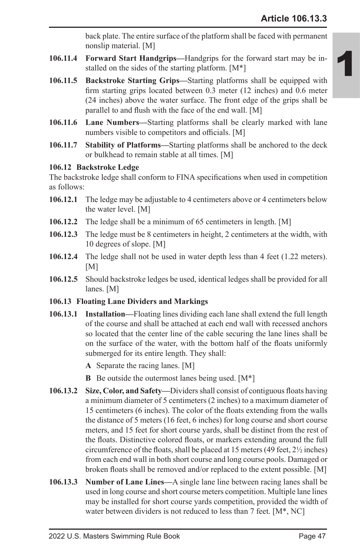back plate. The entire surface of the platform shall be faced with permanent nonslip material. [M]

- **106.11.4 Forward Start Handgrips—**Handgrips for the forward start may be installed on the sides of the starting platform. [M\*]
- **106.11.5 Backstroke Starting Grips—**Starting platforms shall be equipped with firm starting grips located between 0.3 meter (12 inches) and 0.6 meter (24 inches) above the water surface. The front edge of the grips shall be parallel to and flush with the face of the end wall. [M]
- **106.11.6 Lane Numbers—**Starting platforms shall be clearly marked with lane numbers visible to competitors and officials. [M]
- **106.11.7 Stability of Platforms—**Starting platforms shall be anchored to the deck or bulkhead to remain stable at all times. [M]

### **106.12 Backstroke Ledge**

The backstroke ledge shall conform to FINA specifications when used in competition as follows:

- **106.12.1** The ledge may be adjustable to 4 centimeters above or 4 centimeters below the water level. [M]
- **106.12.2** The ledge shall be a minimum of 65 centimeters in length. [M]
- **106.12.3** The ledge must be 8 centimeters in height, 2 centimeters at the width, with 10 degrees of slope. [M]
- **106.12.4** The ledge shall not be used in water depth less than 4 feet (1.22 meters).  $[M]$
- **106.12.5** Should backstroke ledges be used, identical ledges shall be provided for all lanes. [M]

# **106.13 Floating Lane Dividers and Markings**

- **106.13.1 Installation—**Floating lines dividing each lane shall extend the full length of the course and shall be attached at each end wall with recessed anchors so located that the center line of the cable securing the lane lines shall be on the surface of the water, with the bottom half of the floats uniformly submerged for its entire length. They shall:
	- **A** Separate the racing lanes. [M]
	- **B** Be outside the outermost lanes being used. [M\*]
- **106.13.2 Size, Color, and Safety—**Dividers shall consist of contiguous floats having a minimum diameter of 5 centimeters (2 inches) to a maximum diameter of 15 centimeters (6 inches). The color of the floats extending from the walls the distance of 5 meters (16 feet, 6 inches) for long course and short course meters, and 15 feet for short course yards, shall be distinct from the rest of the floats. Distinctive colored floats, or markers extending around the full circumference of the floats, shall be placed at 15 meters (49 feet, 2½ inches) from each end wall in both short course and long course pools. Damaged or broken floats shall be removed and/or replaced to the extent possible. [M]
- **106.13.3 Number of Lane Lines—**A single lane line between racing lanes shall be used in long course and short course meters competition. Multiple lane lines may be installed for short course yards competition, provided the width of water between dividers is not reduced to less than 7 feet. [M<sup>\*</sup>, NC]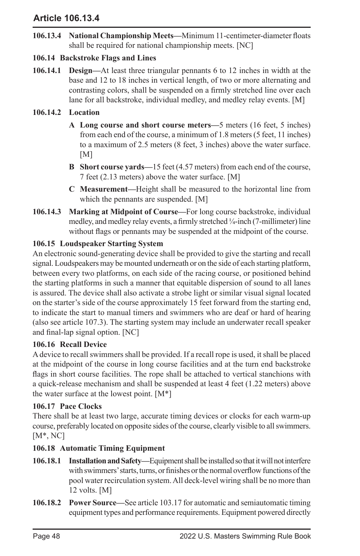# **Article 106.13.4**

**106.13.4 National Championship Meets—**Minimum 11-centimeter-diameter floats shall be required for national championship meets. [NC]

# **106.14 Backstroke Flags and Lines**

**106.14.1 Design—**At least three triangular pennants 6 to 12 inches in width at the base and 12 to 18 inches in vertical length, of two or more alternating and contrasting colors, shall be suspended on a firmly stretched line over each lane for all backstroke, individual medley, and medley relay events. [M]

### **106.14.2 Location**

- **A Long course and short course meters—**5 meters (16 feet, 5 inches) from each end of the course, a minimum of 1.8 meters (5 feet, 11 inches) to a maximum of 2.5 meters (8 feet, 3 inches) above the water surface. [M]
- **B Short course yards—**15 feet (4.57 meters) from each end of the course, 7 feet (2.13 meters) above the water surface. [M]
- **C Measurement—**Height shall be measured to the horizontal line from which the pennants are suspended. [M]
- **106.14.3 Marking at Midpoint of Course—**For long course backstroke, individual medley, and medley relay events, a firmly stretched ¼-inch (7-millimeter) line without flags or pennants may be suspended at the midpoint of the course.

### **106.15 Loudspeaker Starting System**

An electronic sound-generating device shall be provided to give the starting and recall signal. Loudspeakers may be mounted underneath or on the side of each starting platform, between every two platforms, on each side of the racing course, or positioned behind the starting platforms in such a manner that equitable dispersion of sound to all lanes is assured. The device shall also activate a strobe light or similar visual signal located on the starter's side of the course approximately 15 feet forward from the starting end, to indicate the start to manual timers and swimmers who are deaf or hard of hearing (also see article 107.3). The starting system may include an underwater recall speaker and final-lap signal option. [NC]

### **106.16 Recall Device**

A device to recall swimmers shall be provided. If a recall rope is used, it shall be placed at the midpoint of the course in long course facilities and at the turn end backstroke flags in short course facilities. The rope shall be attached to vertical stanchions with a quick-release mechanism and shall be suspended at least 4 feet (1.22 meters) above the water surface at the lowest point.  $[M^*]$ 

### **106.17 Pace Clocks**

There shall be at least two large, accurate timing devices or clocks for each warm-up course, preferably located on opposite sides of the course, clearly visible to all swimmers. [M\*, NC]

### **106.18 Automatic Timing Equipment**

- **106.18.1 Installation and Safety—**Equipment shall be installed so that it will not interfere with swimmers' starts, turns, or finishes or the normal overflow functions of the pool water recirculation system. All deck-level wiring shall be no more than 12 volts. [M]
- **106.18.2 Power Source—**See article 103.17 for automatic and semiautomatic timing equipment types and performance requirements. Equipment powered directly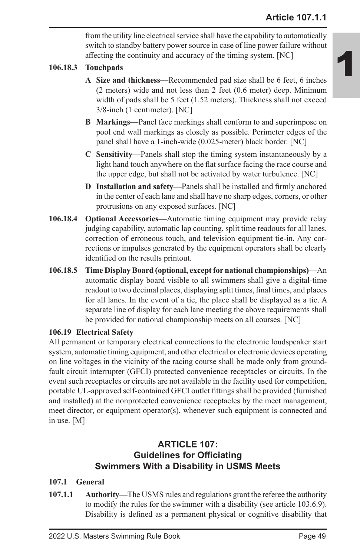from the utility line electrical service shall have the capability to automatically switch to standby battery power source in case of line power failure without affecting the continuity and accuracy of the timing system. [NC]

# **106.18.3 Touchpads**

- **A Size and thickness—**Recommended pad size shall be 6 feet, 6 inches (2 meters) wide and not less than 2 feet (0.6 meter) deep. Minimum width of pads shall be 5 feet (1.52 meters). Thickness shall not exceed 3/8-inch (1 centimeter). [NC]
- **B Markings—**Panel face markings shall conform to and superimpose on pool end wall markings as closely as possible. Perimeter edges of the panel shall have a 1-inch-wide (0.025-meter) black border. [NC]
- **C Sensitivity—**Panels shall stop the timing system instantaneously by a light hand touch anywhere on the flat surface facing the race course and the upper edge, but shall not be activated by water turbulence. [NC]
- **D Installation and safety—**Panels shall be installed and firmly anchored in the center of each lane and shall have no sharp edges, corners, or other protrusions on any exposed surfaces. [NC]
- **106.18.4 Optional Accessories—**Automatic timing equipment may provide relay judging capability, automatic lap counting, split time readouts for all lanes, correction of erroneous touch, and television equipment tie-in. Any corrections or impulses generated by the equipment operators shall be clearly identified on the results printout.
- **106.18.5 Time Display Board (optional, except for national championships)—**An automatic display board visible to all swimmers shall give a digital-time readout to two decimal places, displaying split times, final times, and places for all lanes. In the event of a tie, the place shall be displayed as a tie. A separate line of display for each lane meeting the above requirements shall be provided for national championship meets on all courses. [NC]

### **106.19 Electrical Safety**

All permanent or temporary electrical connections to the electronic loudspeaker start system, automatic timing equipment, and other electrical or electronic devices operating on line voltages in the vicinity of the racing course shall be made only from groundfault circuit interrupter (GFCI) protected convenience receptacles or circuits. In the event such receptacles or circuits are not available in the facility used for competition, portable UL-approved self-contained GFCI outlet fittings shall be provided (furnished and installed) at the nonprotected convenience receptacles by the meet management, meet director, or equipment operator(s), whenever such equipment is connected and in use. [M]

# **ARTICLE 107: Guidelines for Officiating Swimmers With a Disability in USMS Meets**

### **107.1 General**

**107.1.1 Authority—**The USMS rules and regulations grant the referee the authority to modify the rules for the swimmer with a disability (see article 103.6.9). Disability is defined as a permanent physical or cognitive disability that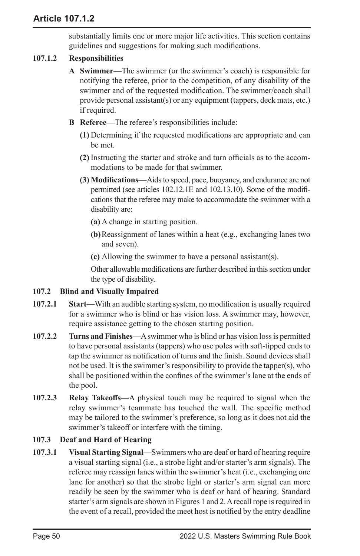substantially limits one or more major life activities. This section contains guidelines and suggestions for making such modifications.

# **107.1.2 Responsibilities**

- **A Swimmer—**The swimmer (or the swimmer's coach) is responsible for notifying the referee, prior to the competition, of any disability of the swimmer and of the requested modification. The swimmer/coach shall provide personal assistant(s) or any equipment (tappers, deck mats, etc.) if required.
- **B Referee—**The referee's responsibilities include:
	- **(1)** Determining if the requested modifications are appropriate and can be met.
	- **(2)** Instructing the starter and stroke and turn officials as to the accommodations to be made for that swimmer.
	- **(3) Modifications—**Aids to speed, pace, buoyancy, and endurance are not permitted (see articles 102.12.1E and 102.13.10). Some of the modifications that the referee may make to accommodate the swimmer with a disability are:
		- **(a)** A change in starting position.
		- **(b)**Reassignment of lanes within a heat (e.g., exchanging lanes two and seven).
		- **(c)** Allowing the swimmer to have a personal assistant(s).

Other allowable modifications are further described in this section under the type of disability.

# **107.2 Blind and Visually Impaired**

- **107.2.1 Start—**With an audible starting system, no modification is usually required for a swimmer who is blind or has vision loss. A swimmer may, however, require assistance getting to the chosen starting position.
- **107.2.2 Turns and Finishes—**A swimmer who is blind or has vision loss is permitted to have personal assistants (tappers) who use poles with soft-tipped ends to tap the swimmer as notification of turns and the finish. Sound devices shall not be used. It is the swimmer's responsibility to provide the tapper(s), who shall be positioned within the confines of the swimmer's lane at the ends of the pool.
- **107.2.3 Relay Takeoffs—**A physical touch may be required to signal when the relay swimmer's teammate has touched the wall. The specific method may be tailored to the swimmer's preference, so long as it does not aid the swimmer's takeoff or interfere with the timing.

# **107.3 Deaf and Hard of Hearing**

**107.3.1 Visual Starting Signal—**Swimmers who are deaf or hard of hearing require a visual starting signal (i.e., a strobe light and/or starter's arm signals). The referee may reassign lanes within the swimmer's heat (i.e., exchanging one lane for another) so that the strobe light or starter's arm signal can more readily be seen by the swimmer who is deaf or hard of hearing. Standard starter's arm signals are shown in Figures 1 and 2. A recall rope is required in the event of a recall, provided the meet host is notified by the entry deadline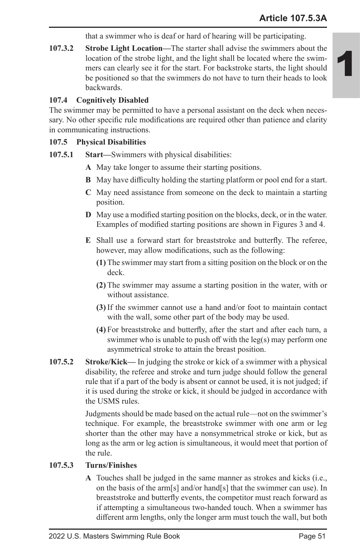that a swimmer who is deaf or hard of hearing will be participating.

**107.3.2 Strobe Light Location—**The starter shall advise the swimmers about the location of the strobe light, and the light shall be located where the swimmers can clearly see it for the start. For backstroke starts, the light should be positioned so that the swimmers do not have to turn their heads to look backwards.

# **107.4 Cognitively Disabled**

The swimmer may be permitted to have a personal assistant on the deck when necessary. No other specific rule modifications are required other than patience and clarity in communicating instructions.

### **107.5 Physical Disabilities**

- **107.5.1 Start—**Swimmers with physical disabilities:
	- **A** May take longer to assume their starting positions.
	- **B** May have difficulty holding the starting platform or pool end for a start.
	- **C** May need assistance from someone on the deck to maintain a starting position.
	- **D** May use a modified starting position on the blocks, deck, or in the water. Examples of modified starting positions are shown in Figures 3 and 4.
	- **E** Shall use a forward start for breaststroke and butterfly. The referee, however, may allow modifications, such as the following:
		- **(1)** The swimmer may start from a sitting position on the block or on the deck.
		- **(2)** The swimmer may assume a starting position in the water, with or without assistance.
		- **(3)** If the swimmer cannot use a hand and/or foot to maintain contact with the wall, some other part of the body may be used.
		- **(4)** For breaststroke and butterfly, after the start and after each turn, a swimmer who is unable to push off with the leg(s) may perform one asymmetrical stroke to attain the breast position.
- **107.5.2 Stroke/Kick—** In judging the stroke or kick of a swimmer with a physical disability, the referee and stroke and turn judge should follow the general rule that if a part of the body is absent or cannot be used, it is not judged; if it is used during the stroke or kick, it should be judged in accordance with the USMS rules.

Judgments should be made based on the actual rule—not on the swimmer's technique. For example, the breaststroke swimmer with one arm or leg shorter than the other may have a nonsymmetrical stroke or kick, but as long as the arm or leg action is simultaneous, it would meet that portion of the rule.

# **107.5.3 Turns/Finishes**

**A** Touches shall be judged in the same manner as strokes and kicks (i.e., on the basis of the arm[s] and/or hand[s] that the swimmer can use). In breaststroke and butterfly events, the competitor must reach forward as if attempting a simultaneous two-handed touch. When a swimmer has different arm lengths, only the longer arm must touch the wall, but both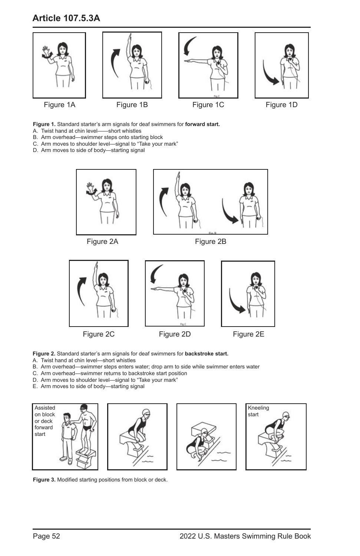# **Article 107.5.3A**



**Figure 1.** Standard starter's arm signals for deaf swimmers for **forward start.**

- A. Twist hand at chin level——short whistles
- B. Arm overhead—swimmer steps onto starting block
- C. Arm moves to shoulder level—signal to "Take your mark"
- D. Arm moves to side of body—starting signal



**Figure 2.** Standard starter's arm signals for deaf swimmers for **backstroke start.**

- A. Twist hand at chin level—short whistles
- B. Arm overhead—swimmer steps enters water; drop arm to side while swimmer enters water
- C. Arm overhead—swimmer returns to backstroke start position
- D. Arm moves to shoulder level—signal to "Take your mark"
- E. Arm moves to side of body—starting signal



**Figure 3.** Modified starting positions from block or deck.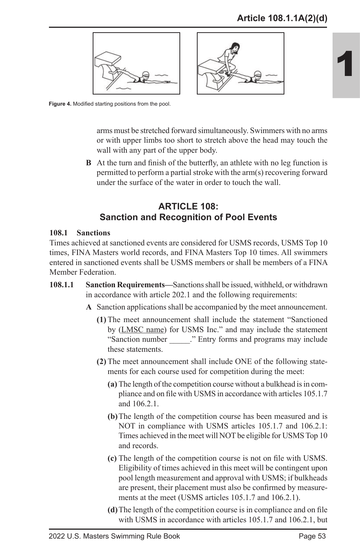



**Figure 4.** Modified starting positions from the pool.

arms must be stretched forward simultaneously. Swimmers with no arms or with upper limbs too short to stretch above the head may touch the wall with any part of the upper body.

**B** At the turn and finish of the butterfly, an athlete with no leg function is permitted to perform a partial stroke with the arm(s) recovering forward under the surface of the water in order to touch the wall.

# **ARTICLE 108: Sanction and Recognition of Pool Events**

### **108.1 Sanctions**

Times achieved at sanctioned events are considered for USMS records, USMS Top 10 times, FINA Masters world records, and FINA Masters Top 10 times. All swimmers entered in sanctioned events shall be USMS members or shall be members of a FINA Member Federation.

- **108.1.1 Sanction Requirements—**Sanctions shall be issued, withheld, or withdrawn in accordance with article 202.1 and the following requirements:
	- **A** Sanction applications shall be accompanied by the meet announcement.
		- **(1)** The meet announcement shall include the statement "Sanctioned by (LMSC name) for USMS Inc." and may include the statement "Sanction number ..." Entry forms and programs may include these statements.
		- **(2)** The meet announcement shall include ONE of the following statements for each course used for competition during the meet:
			- **(a)** The length of the competition course without a bulkhead is in compliance and on file with USMS in accordance with articles 105.1.7 and 106.2.1.
			- **(b)**The length of the competition course has been measured and is NOT in compliance with USMS articles 105.1.7 and 106.2.1: Times achieved in the meet will NOT be eligible for USMS Top 10 and records.
			- **(c)** The length of the competition course is not on file with USMS. Eligibility of times achieved in this meet will be contingent upon pool length measurement and approval with USMS; if bulkheads are present, their placement must also be confirmed by measurements at the meet (USMS articles 105.1.7 and 106.2.1).
			- **(d)**The length of the competition course is in compliance and on file with USMS in accordance with articles 105.1.7 and 106.2.1, but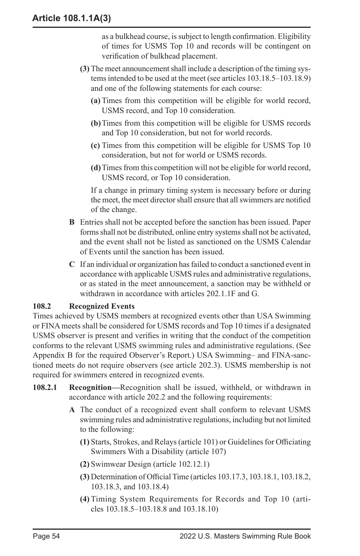as a bulkhead course, is subject to length confirmation. Eligibility of times for USMS Top 10 and records will be contingent on verification of bulkhead placement.

- **(3)** The meet announcement shall include a description of the timing systems intended to be used at the meet (see articles 103.18.5–103.18.9) and one of the following statements for each course:
	- **(a)** Times from this competition will be eligible for world record, USMS record, and Top 10 consideration.
	- **(b)**Times from this competition will be eligible for USMS records and Top 10 consideration, but not for world records.
	- **(c)** Times from this competition will be eligible for USMS Top 10 consideration, but not for world or USMS records.
	- **(d)**Times from this competition will not be eligible for world record, USMS record, or Top 10 consideration.

If a change in primary timing system is necessary before or during the meet, the meet director shall ensure that all swimmers are notified of the change.

- **B** Entries shall not be accepted before the sanction has been issued. Paper forms shall not be distributed, online entry systems shall not be activated, and the event shall not be listed as sanctioned on the USMS Calendar of Events until the sanction has been issued.
- **C** If an individual or organization has failed to conduct a sanctioned event in accordance with applicable USMS rules and administrative regulations, or as stated in the meet announcement, a sanction may be withheld or withdrawn in accordance with articles 202.1.1F and G.

# **108.2 Recognized Events**

Times achieved by USMS members at recognized events other than USA Swimming or FINA meets shall be considered for USMS records and Top 10 times if a designated USMS observer is present and verifies in writing that the conduct of the competition conforms to the relevant USMS swimming rules and administrative regulations. (See Appendix B for the required Observer's Report.) USA Swimming– and FINA-sanctioned meets do not require observers (see article 202.3). USMS membership is not required for swimmers entered in recognized events.

- **108.2.1 Recognition—**Recognition shall be issued, withheld, or withdrawn in accordance with article 202.2 and the following requirements:
	- **A** The conduct of a recognized event shall conform to relevant USMS swimming rules and administrative regulations, including but not limited to the following:
		- **(1)** Starts, Strokes, and Relays (article 101) or Guidelines for Officiating Swimmers With a Disability (article 107)
		- **(2)** Swimwear Design (article 102.12.1)
		- **(3)** Determination of Official Time (articles 103.17.3, 103.18.1, 103.18.2, 103.18.3, and 103.18.4)
		- **(4)** Timing System Requirements for Records and Top 10 (articles 103.18.5–103.18.8 and 103.18.10)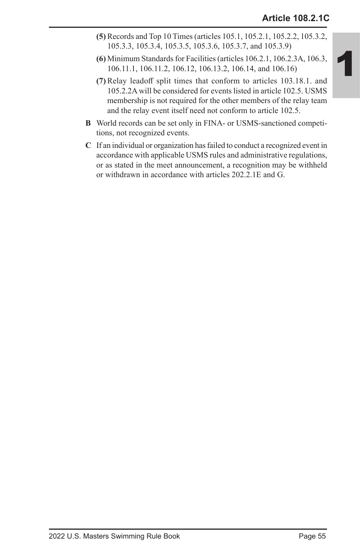- **(5)** Records and Top 10 Times (articles 105.1, 105.2.1, 105.2.2, 105.3.2, 105.3.3, 105.3.4, 105.3.5, 105.3.6, 105.3.7, and 105.3.9)
- **(6)** Minimum Standards for Facilities (articles 106.2.1, 106.2.3A, 106.3, 106.11.1, 106.11.2, 106.12, 106.13.2, 106.14, and 106.16)
- **(7)** Relay leadoff split times that conform to articles 103.18.1. and 105.2.2A will be considered for events listed in article 102.5. USMS membership is not required for the other members of the relay team and the relay event itself need not conform to article 102.5.
- **B** World records can be set only in FINA- or USMS-sanctioned competitions, not recognized events.
- **C** If an individual or organization has failed to conduct a recognized event in accordance with applicable USMS rules and administrative regulations, or as stated in the meet announcement, a recognition may be withheld or withdrawn in accordance with articles 202.2.1E and G.